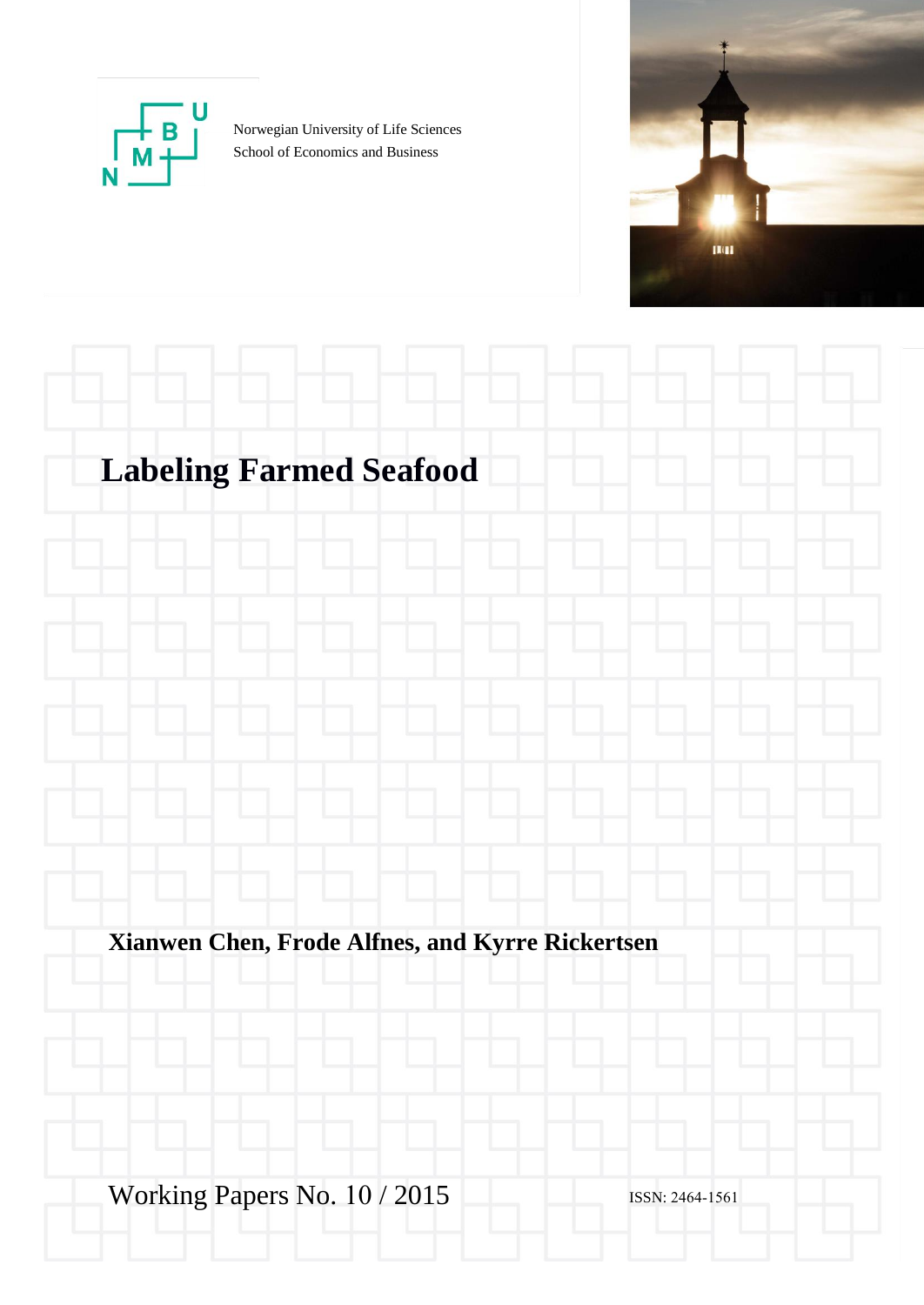

Norwegian University of Life Sciences School of Economics and Business



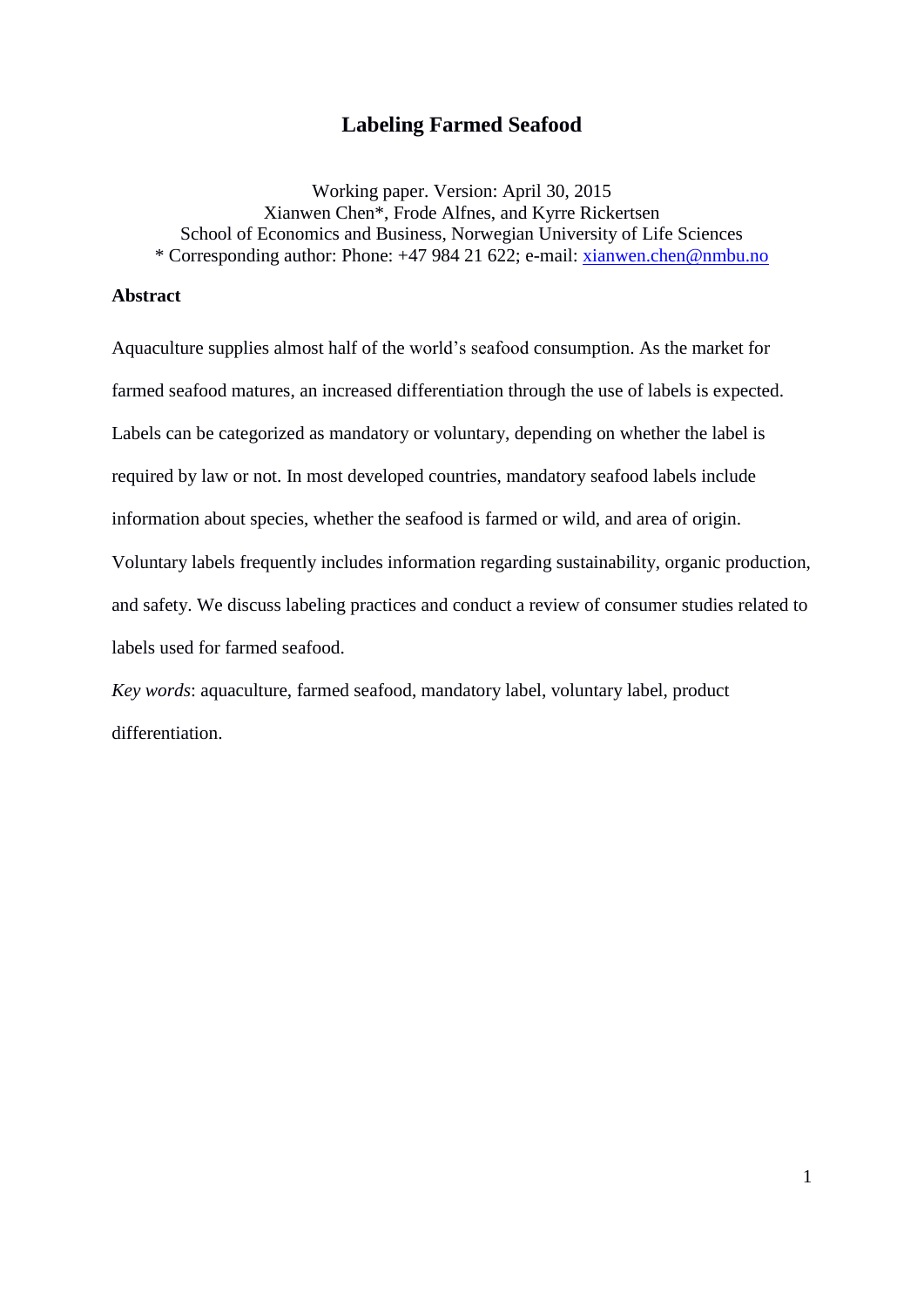# **Labeling Farmed Seafood**

Working paper. Version: April 30, 2015 Xianwen Chen\*, Frode Alfnes, and Kyrre Rickertsen School of Economics and Business, Norwegian University of Life Sciences \* Corresponding author: Phone: +47 984 21 622; e-mail: [xianwen.chen@nmbu.no](mailto:xianwen.chen@nmbu.no)

# **Abstract**

Aquaculture supplies almost half of the world's seafood consumption. As the market for farmed seafood matures, an increased differentiation through the use of labels is expected. Labels can be categorized as mandatory or voluntary, depending on whether the label is required by law or not. In most developed countries, mandatory seafood labels include information about species, whether the seafood is farmed or wild, and area of origin. Voluntary labels frequently includes information regarding sustainability, organic production, and safety. We discuss labeling practices and conduct a review of consumer studies related to labels used for farmed seafood.

*Key words*: aquaculture, farmed seafood, mandatory label, voluntary label, product differentiation.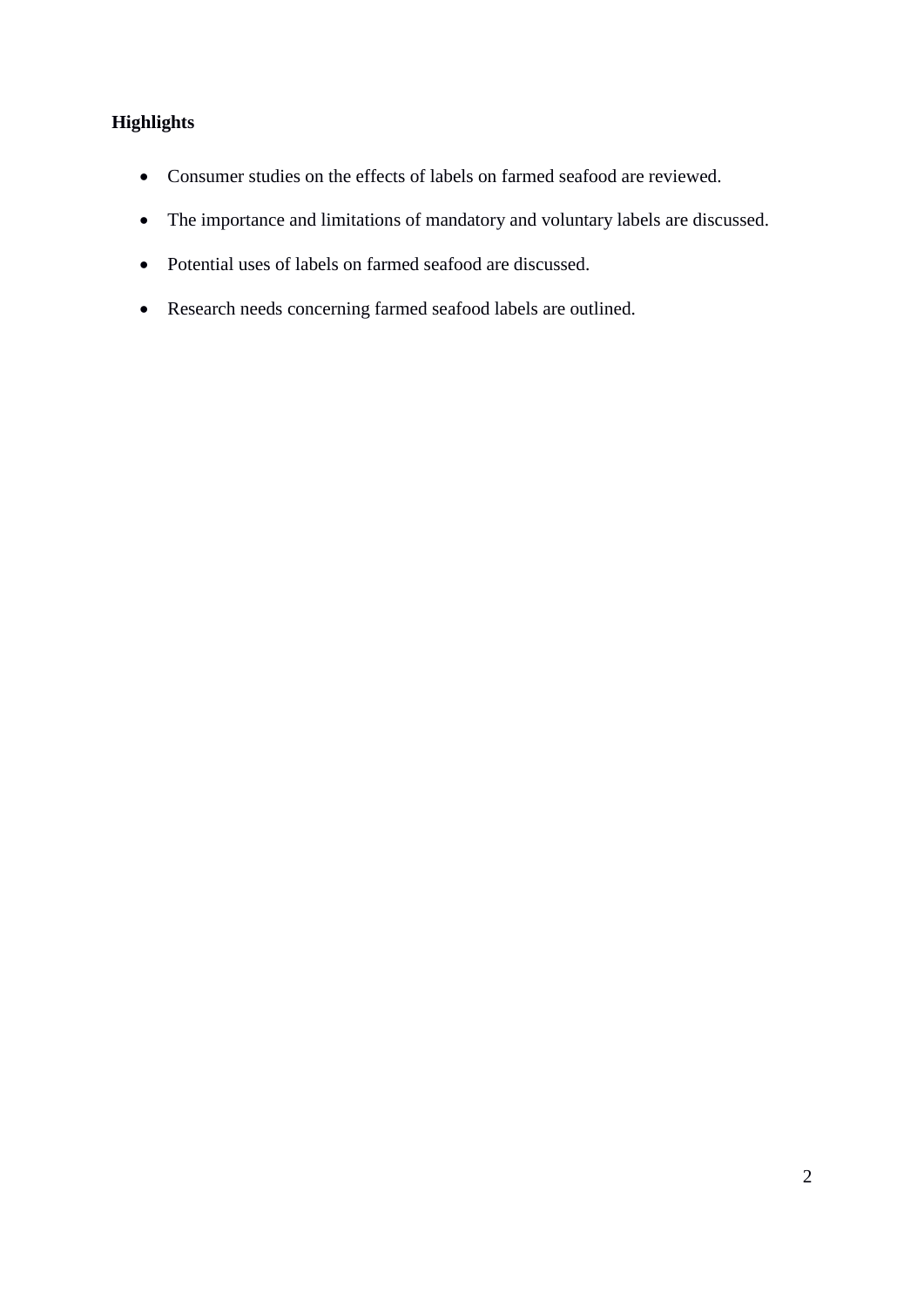# **Highlights**

- Consumer studies on the effects of labels on farmed seafood are reviewed.
- The importance and limitations of mandatory and voluntary labels are discussed.
- Potential uses of labels on farmed seafood are discussed.
- Research needs concerning farmed seafood labels are outlined.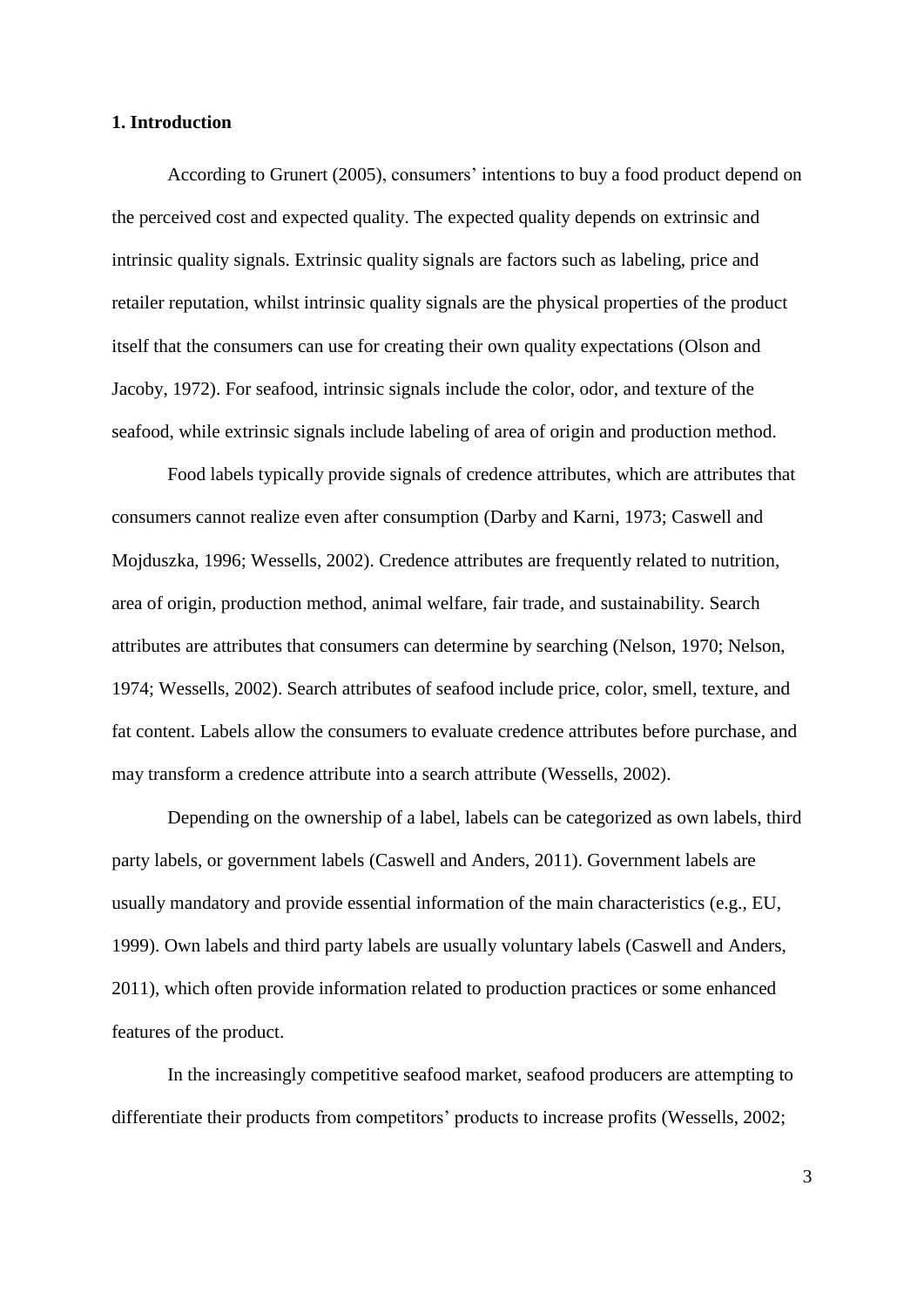# **1. Introduction**

According to Grunert (2005), consumers' intentions to buy a food product depend on the perceived cost and expected quality. The expected quality depends on extrinsic and intrinsic quality signals. Extrinsic quality signals are factors such as labeling, price and retailer reputation, whilst intrinsic quality signals are the physical properties of the product itself that the consumers can use for creating their own quality expectations (Olson and Jacoby, 1972). For seafood, intrinsic signals include the color, odor, and texture of the seafood, while extrinsic signals include labeling of area of origin and production method.

Food labels typically provide signals of credence attributes, which are attributes that consumers cannot realize even after consumption (Darby and Karni, 1973; Caswell and Mojduszka, 1996; Wessells, 2002). Credence attributes are frequently related to nutrition, area of origin, production method, animal welfare, fair trade, and sustainability. Search attributes are attributes that consumers can determine by searching (Nelson, 1970; Nelson, 1974; Wessells, 2002). Search attributes of seafood include price, color, smell, texture, and fat content. Labels allow the consumers to evaluate credence attributes before purchase, and may transform a credence attribute into a search attribute (Wessells, 2002).

Depending on the ownership of a label, labels can be categorized as own labels, third party labels, or government labels (Caswell and Anders, 2011). Government labels are usually mandatory and provide essential information of the main characteristics (e.g., EU, 1999). Own labels and third party labels are usually voluntary labels (Caswell and Anders, 2011), which often provide information related to production practices or some enhanced features of the product.

In the increasingly competitive seafood market, seafood producers are attempting to differentiate their products from competitors' products to increase profits (Wessells, 2002;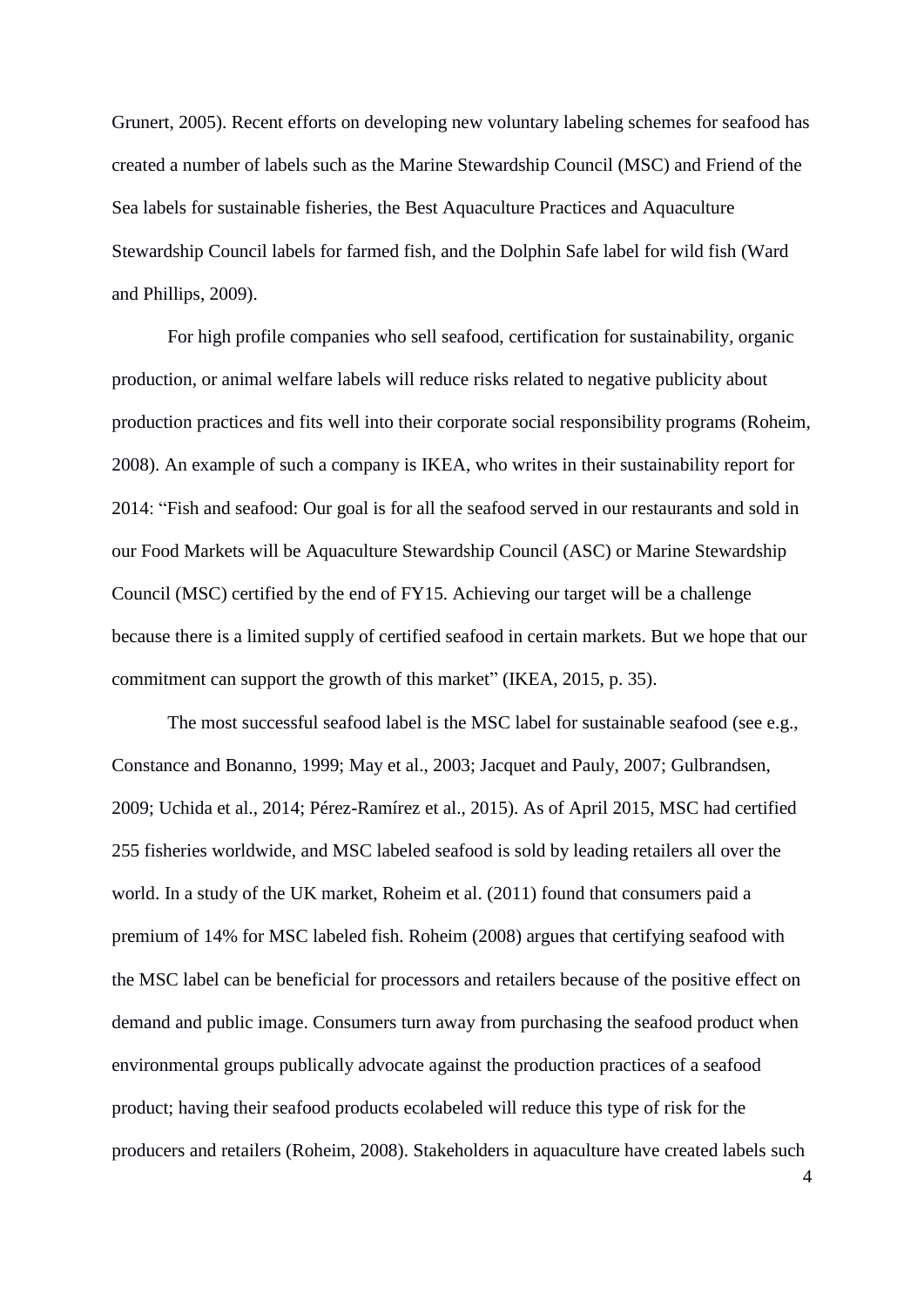Grunert, 2005). Recent efforts on developing new voluntary labeling schemes for seafood has created a number of labels such as the Marine Stewardship Council (MSC) and Friend of the Sea labels for sustainable fisheries, the Best Aquaculture Practices and Aquaculture Stewardship Council labels for farmed fish, and the Dolphin Safe label for wild fish (Ward and Phillips, 2009).

For high profile companies who sell seafood, certification for sustainability, organic production, or animal welfare labels will reduce risks related to negative publicity about production practices and fits well into their corporate social responsibility programs (Roheim, 2008). An example of such a company is IKEA, who writes in their sustainability report for 2014: "Fish and seafood: Our goal is for all the seafood served in our restaurants and sold in our Food Markets will be Aquaculture Stewardship Council (ASC) or Marine Stewardship Council (MSC) certified by the end of FY15. Achieving our target will be a challenge because there is a limited supply of certified seafood in certain markets. But we hope that our commitment can support the growth of this market" (IKEA, 2015, p. 35).

The most successful seafood label is the MSC label for sustainable seafood (see e.g., Constance and Bonanno, 1999; May et al., 2003; Jacquet and Pauly, 2007; Gulbrandsen, 2009; Uchida et al., 2014; Pérez-Ramírez et al., 2015). As of April 2015, MSC had certified 255 fisheries worldwide, and MSC labeled seafood is sold by leading retailers all over the world. In a study of the UK market, Roheim et al. (2011) found that consumers paid a premium of 14% for MSC labeled fish. Roheim (2008) argues that certifying seafood with the MSC label can be beneficial for processors and retailers because of the positive effect on demand and public image. Consumers turn away from purchasing the seafood product when environmental groups publically advocate against the production practices of a seafood product; having their seafood products ecolabeled will reduce this type of risk for the producers and retailers (Roheim, 2008). Stakeholders in aquaculture have created labels such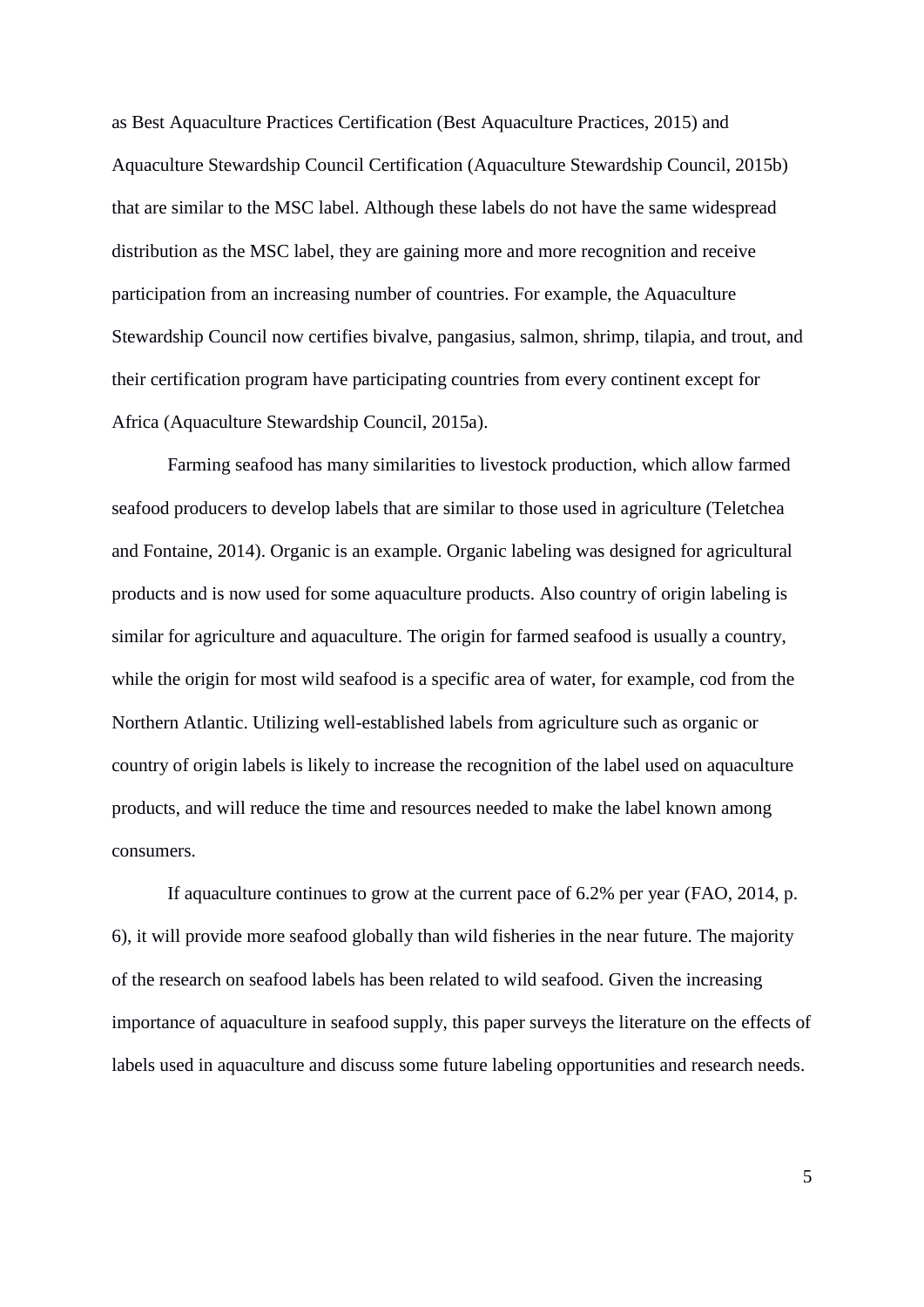as Best Aquaculture Practices Certification (Best Aquaculture Practices, 2015) and Aquaculture Stewardship Council Certification (Aquaculture Stewardship Council, 2015b) that are similar to the MSC label. Although these labels do not have the same widespread distribution as the MSC label, they are gaining more and more recognition and receive participation from an increasing number of countries. For example, the Aquaculture Stewardship Council now certifies bivalve, pangasius, salmon, shrimp, tilapia, and trout, and their certification program have participating countries from every continent except for Africa (Aquaculture Stewardship Council, 2015a).

Farming seafood has many similarities to livestock production, which allow farmed seafood producers to develop labels that are similar to those used in agriculture (Teletchea and Fontaine, 2014). Organic is an example. Organic labeling was designed for agricultural products and is now used for some aquaculture products. Also country of origin labeling is similar for agriculture and aquaculture. The origin for farmed seafood is usually a country, while the origin for most wild seafood is a specific area of water, for example, cod from the Northern Atlantic. Utilizing well-established labels from agriculture such as organic or country of origin labels is likely to increase the recognition of the label used on aquaculture products, and will reduce the time and resources needed to make the label known among consumers.

If aquaculture continues to grow at the current pace of 6.2% per year (FAO, 2014, p. 6), it will provide more seafood globally than wild fisheries in the near future. The majority of the research on seafood labels has been related to wild seafood. Given the increasing importance of aquaculture in seafood supply, this paper surveys the literature on the effects of labels used in aquaculture and discuss some future labeling opportunities and research needs.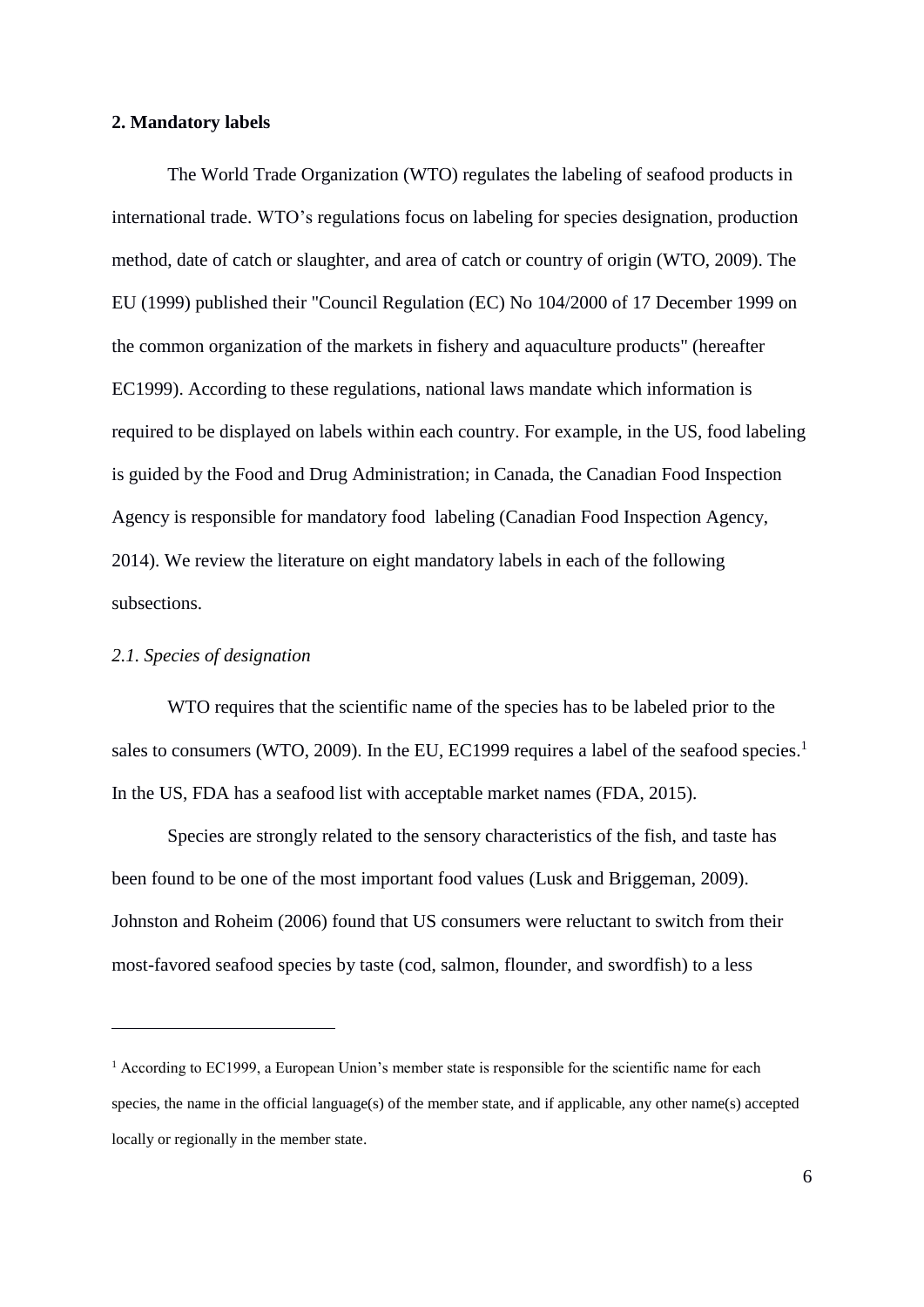## **2. Mandatory labels**

The World Trade Organization (WTO) regulates the labeling of seafood products in international trade. WTO's regulations focus on labeling for species designation, production method, date of catch or slaughter, and area of catch or country of origin (WTO, 2009). The EU (1999) published their "Council Regulation (EC) No 104/2000 of 17 December 1999 on the common organization of the markets in fishery and aquaculture products" (hereafter EC1999). According to these regulations, national laws mandate which information is required to be displayed on labels within each country. For example, in the US, food labeling is guided by the Food and Drug Administration; in Canada, the Canadian Food Inspection Agency is responsible for mandatory food labeling (Canadian Food Inspection Agency, 2014). We review the literature on eight mandatory labels in each of the following subsections.

# *2.1. Species of designation*

1

WTO requires that the scientific name of the species has to be labeled prior to the sales to consumers (WTO, 2009). In the EU, EC1999 requires a label of the seafood species.<sup>1</sup> In the US, FDA has a seafood list with acceptable market names (FDA, 2015).

Species are strongly related to the sensory characteristics of the fish, and taste has been found to be one of the most important food values (Lusk and Briggeman, 2009). Johnston and Roheim (2006) found that US consumers were reluctant to switch from their most-favored seafood species by taste (cod, salmon, flounder, and swordfish) to a less

<sup>&</sup>lt;sup>1</sup> According to EC1999, a European Union's member state is responsible for the scientific name for each species, the name in the official language(s) of the member state, and if applicable, any other name(s) accepted locally or regionally in the member state.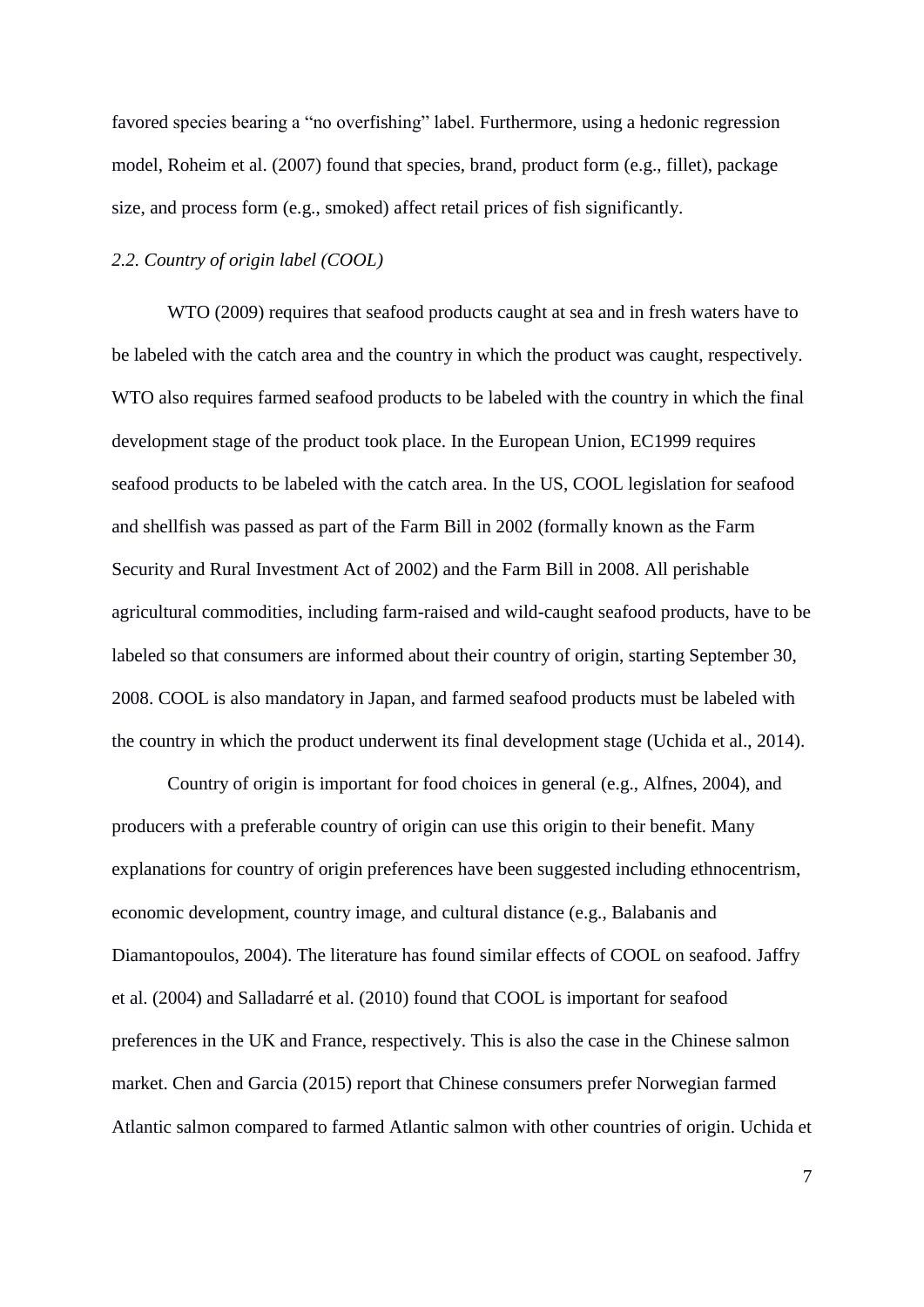favored species bearing a "no overfishing" label. Furthermore, using a hedonic regression model, Roheim et al. (2007) found that species, brand, product form (e.g., fillet), package size, and process form (e.g., smoked) affect retail prices of fish significantly.

# *2.2. Country of origin label (COOL)*

WTO (2009) requires that seafood products caught at sea and in fresh waters have to be labeled with the catch area and the country in which the product was caught, respectively. WTO also requires farmed seafood products to be labeled with the country in which the final development stage of the product took place. In the European Union, EC1999 requires seafood products to be labeled with the catch area. In the US, COOL legislation for seafood and shellfish was passed as part of the Farm Bill in 2002 (formally known as the Farm Security and Rural Investment Act of 2002) and the Farm Bill in 2008. All perishable agricultural commodities, including farm-raised and wild-caught seafood products, have to be labeled so that consumers are informed about their country of origin, starting September 30, 2008. COOL is also mandatory in Japan, and farmed seafood products must be labeled with the country in which the product underwent its final development stage (Uchida et al., 2014).

Country of origin is important for food choices in general (e.g., Alfnes, 2004), and producers with a preferable country of origin can use this origin to their benefit. Many explanations for country of origin preferences have been suggested including ethnocentrism, economic development, country image, and cultural distance (e.g., Balabanis and Diamantopoulos, 2004). The literature has found similar effects of COOL on seafood. Jaffry et al. (2004) and Salladarré et al. (2010) found that COOL is important for seafood preferences in the UK and France, respectively. This is also the case in the Chinese salmon market. Chen and Garcia (2015) report that Chinese consumers prefer Norwegian farmed Atlantic salmon compared to farmed Atlantic salmon with other countries of origin. Uchida et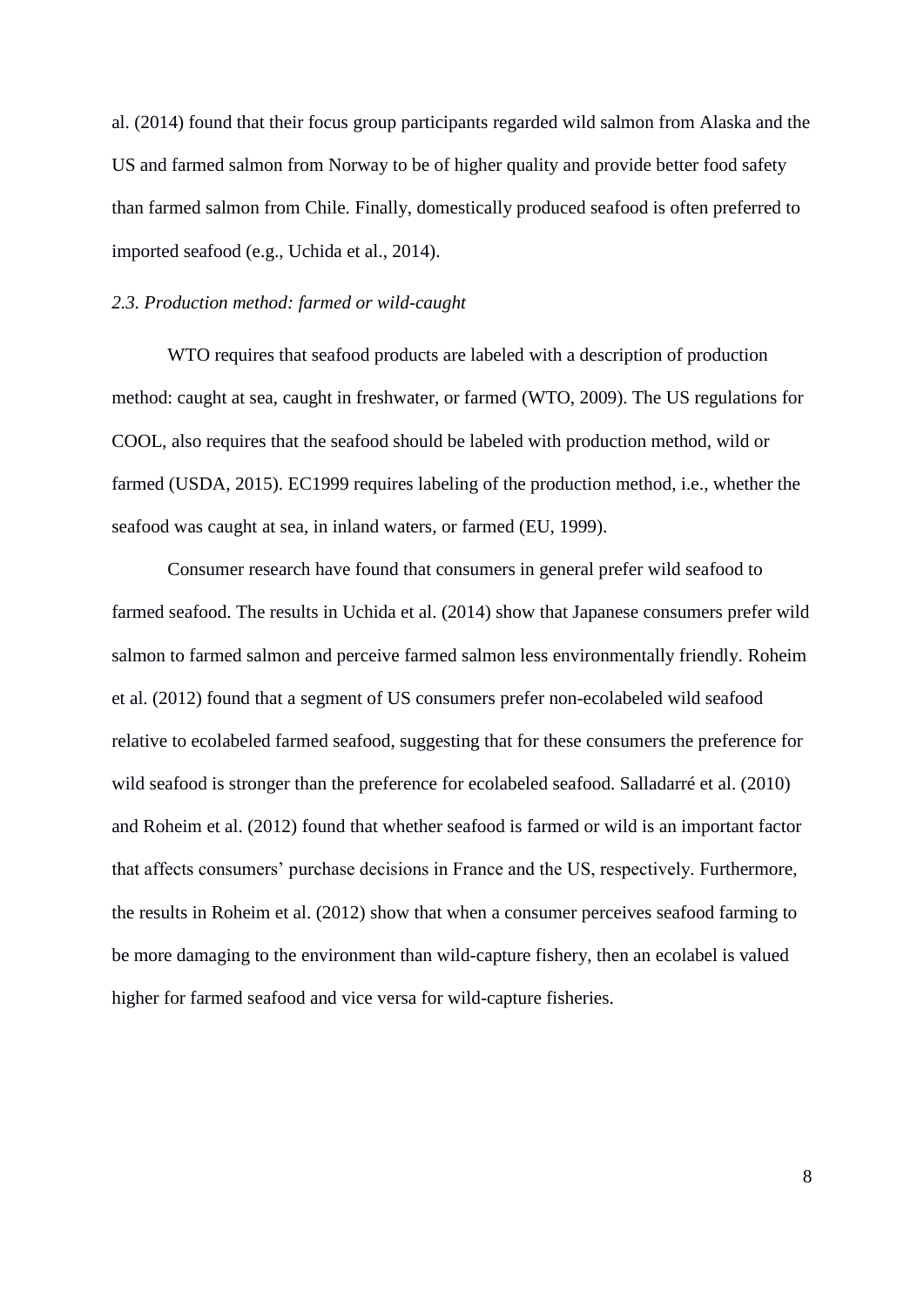al. (2014) found that their focus group participants regarded wild salmon from Alaska and the US and farmed salmon from Norway to be of higher quality and provide better food safety than farmed salmon from Chile. Finally, domestically produced seafood is often preferred to imported seafood (e.g., Uchida et al., 2014).

# *2.3. Production method: farmed or wild-caught*

WTO requires that seafood products are labeled with a description of production method: caught at sea, caught in freshwater, or farmed (WTO, 2009). The US regulations for COOL, also requires that the seafood should be labeled with production method, wild or farmed (USDA, 2015). EC1999 requires labeling of the production method, i.e., whether the seafood was caught at sea, in inland waters, or farmed (EU, 1999).

Consumer research have found that consumers in general prefer wild seafood to farmed seafood. The results in Uchida et al. (2014) show that Japanese consumers prefer wild salmon to farmed salmon and perceive farmed salmon less environmentally friendly. Roheim et al. (2012) found that a segment of US consumers prefer non-ecolabeled wild seafood relative to ecolabeled farmed seafood, suggesting that for these consumers the preference for wild seafood is stronger than the preference for ecolabeled seafood. Salladarré et al. (2010) and Roheim et al. (2012) found that whether seafood is farmed or wild is an important factor that affects consumers' purchase decisions in France and the US, respectively. Furthermore, the results in Roheim et al. (2012) show that when a consumer perceives seafood farming to be more damaging to the environment than wild-capture fishery, then an ecolabel is valued higher for farmed seafood and vice versa for wild-capture fisheries.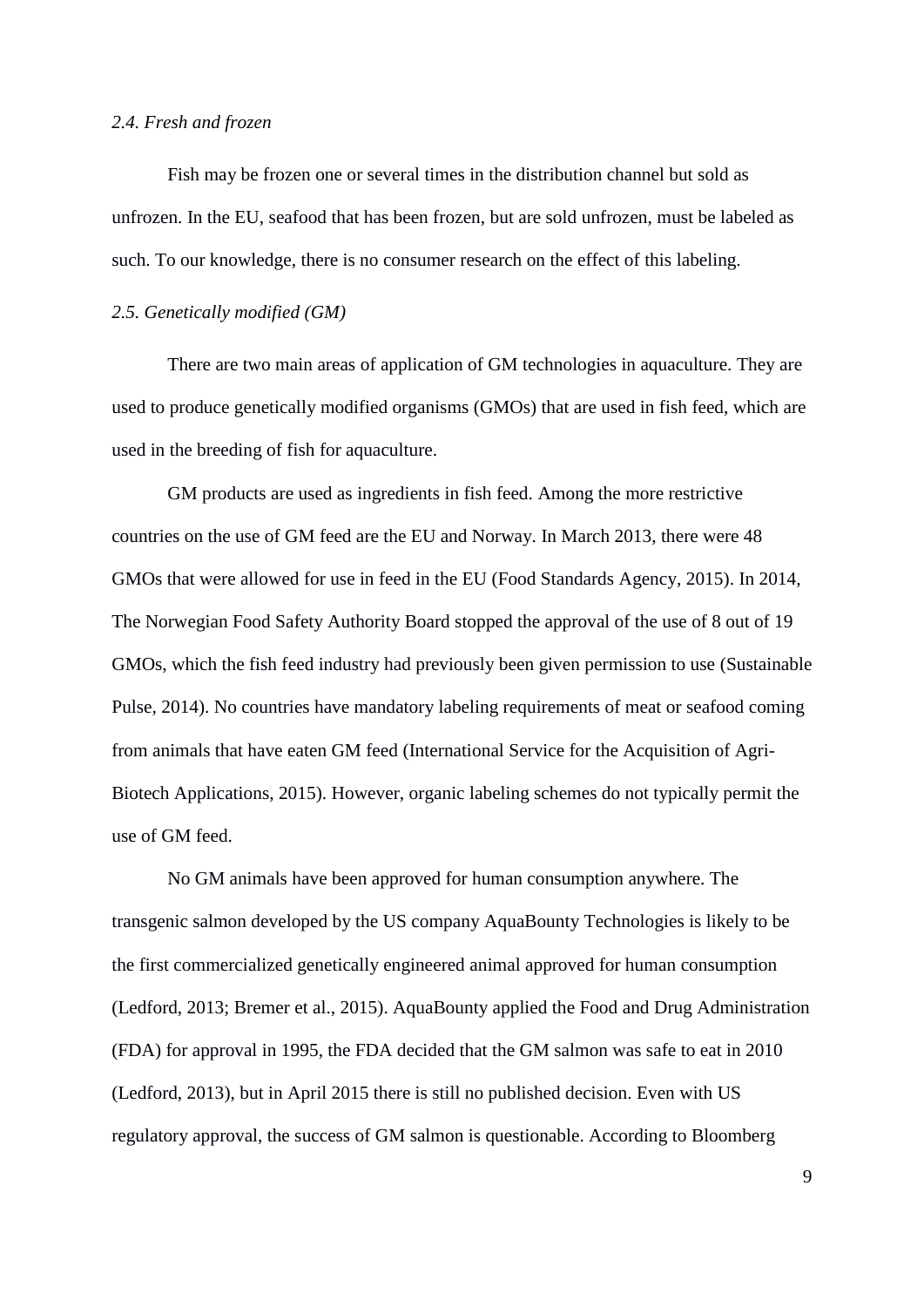#### *2.4. Fresh and frozen*

Fish may be frozen one or several times in the distribution channel but sold as unfrozen. In the EU, seafood that has been frozen, but are sold unfrozen, must be labeled as such. To our knowledge, there is no consumer research on the effect of this labeling.

#### *2.5. Genetically modified (GM)*

There are two main areas of application of GM technologies in aquaculture. They are used to produce genetically modified organisms (GMOs) that are used in fish feed, which are used in the breeding of fish for aquaculture.

GM products are used as ingredients in fish feed. Among the more restrictive countries on the use of GM feed are the EU and Norway. In March 2013, there were 48 GMOs that were allowed for use in feed in the EU (Food Standards Agency, 2015). In 2014, The Norwegian Food Safety Authority Board stopped the approval of the use of 8 out of 19 GMOs, which the fish feed industry had previously been given permission to use (Sustainable Pulse, 2014). No countries have mandatory labeling requirements of meat or seafood coming from animals that have eaten GM feed (International Service for the Acquisition of Agri-Biotech Applications, 2015). However, organic labeling schemes do not typically permit the use of GM feed.

No GM animals have been approved for human consumption anywhere. The transgenic salmon developed by the US company AquaBounty Technologies is likely to be the first commercialized genetically engineered animal approved for human consumption (Ledford, 2013; Bremer et al., 2015). AquaBounty applied the Food and Drug Administration (FDA) for approval in 1995, the FDA decided that the GM salmon was safe to eat in 2010 (Ledford, 2013), but in April 2015 there is still no published decision. Even with US regulatory approval, the success of GM salmon is questionable. According to Bloomberg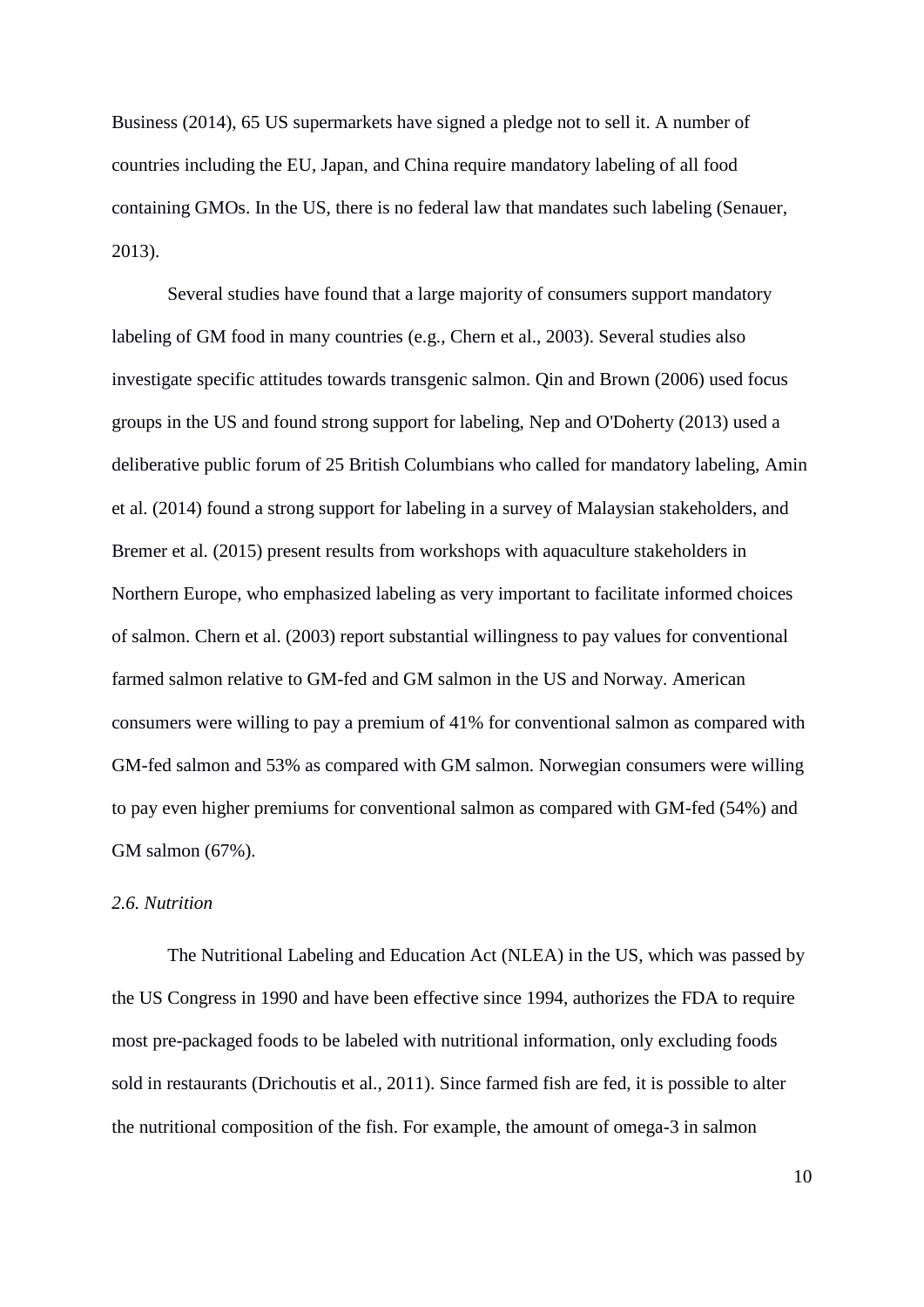Business (2014), 65 US supermarkets have signed a pledge not to sell it. A number of countries including the EU, Japan, and China require mandatory labeling of all food containing GMOs. In the US, there is no federal law that mandates such labeling (Senauer, 2013).

Several studies have found that a large majority of consumers support mandatory labeling of GM food in many countries (e.g., Chern et al., 2003). Several studies also investigate specific attitudes towards transgenic salmon. Qin and Brown (2006) used focus groups in the US and found strong support for labeling, Nep and O'Doherty (2013) used a deliberative public forum of 25 British Columbians who called for mandatory labeling, Amin et al. (2014) found a strong support for labeling in a survey of Malaysian stakeholders, and Bremer et al. (2015) present results from workshops with aquaculture stakeholders in Northern Europe, who emphasized labeling as very important to facilitate informed choices of salmon. Chern et al. (2003) report substantial willingness to pay values for conventional farmed salmon relative to GM-fed and GM salmon in the US and Norway. American consumers were willing to pay a premium of 41% for conventional salmon as compared with GM-fed salmon and 53% as compared with GM salmon. Norwegian consumers were willing to pay even higher premiums for conventional salmon as compared with GM-fed (54%) and GM salmon (67%).

## *2.6. Nutrition*

The Nutritional Labeling and Education Act (NLEA) in the US, which was passed by the US Congress in 1990 and have been effective since 1994, authorizes the FDA to require most pre-packaged foods to be labeled with nutritional information, only excluding foods sold in restaurants (Drichoutis et al., 2011). Since farmed fish are fed, it is possible to alter the nutritional composition of the fish. For example, the amount of omega-3 in salmon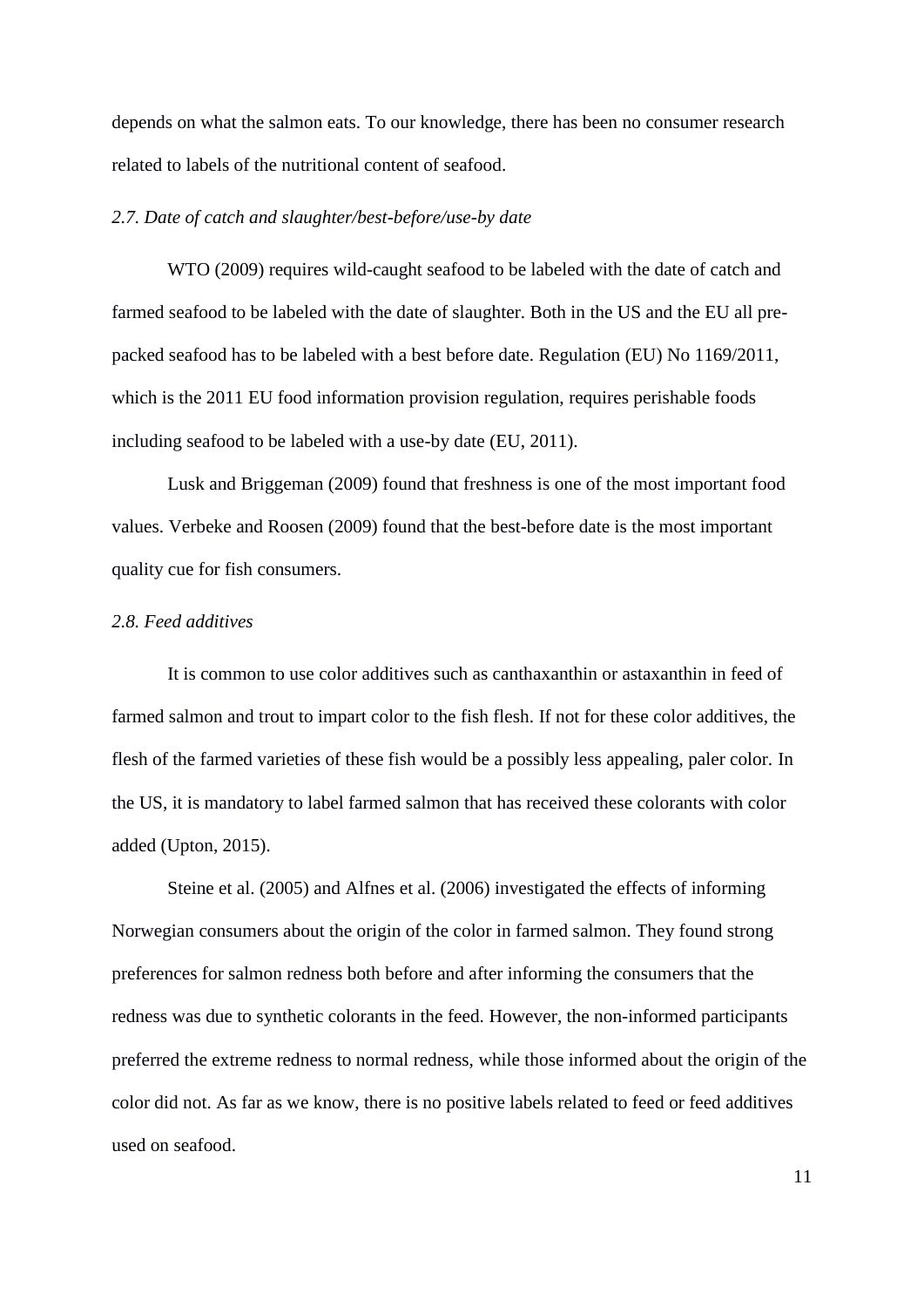depends on what the salmon eats. To our knowledge, there has been no consumer research related to labels of the nutritional content of seafood.

#### *2.7. Date of catch and slaughter/best-before/use-by date*

WTO (2009) requires wild-caught seafood to be labeled with the date of catch and farmed seafood to be labeled with the date of slaughter. Both in the US and the EU all prepacked seafood has to be labeled with a best before date. Regulation (EU) No 1169/2011, which is the 2011 EU food information provision regulation, requires perishable foods including seafood to be labeled with a use-by date (EU, 2011).

Lusk and Briggeman (2009) found that freshness is one of the most important food values. Verbeke and Roosen (2009) found that the best-before date is the most important quality cue for fish consumers.

# *2.8. Feed additives*

It is common to use color additives such as canthaxanthin or astaxanthin in feed of farmed salmon and trout to impart color to the fish flesh. If not for these color additives, the flesh of the farmed varieties of these fish would be a possibly less appealing, paler color. In the US, it is mandatory to label farmed salmon that has received these colorants with color added (Upton, 2015).

Steine et al. (2005) and Alfnes et al. (2006) investigated the effects of informing Norwegian consumers about the origin of the color in farmed salmon. They found strong preferences for salmon redness both before and after informing the consumers that the redness was due to synthetic colorants in the feed. However, the non-informed participants preferred the extreme redness to normal redness, while those informed about the origin of the color did not. As far as we know, there is no positive labels related to feed or feed additives used on seafood.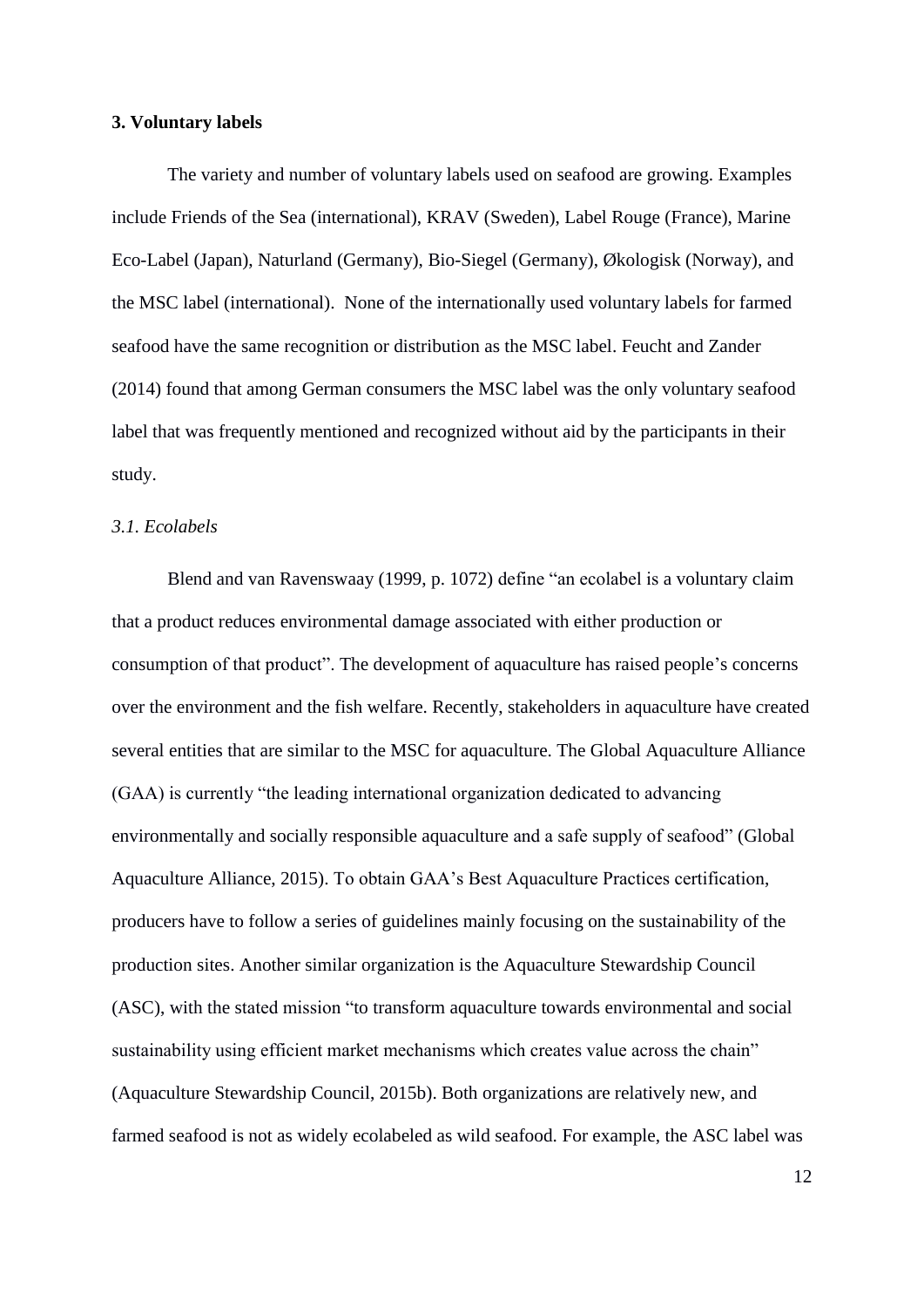#### **3. Voluntary labels**

The variety and number of voluntary labels used on seafood are growing. Examples include Friends of the Sea (international), KRAV (Sweden), Label Rouge (France), Marine Eco-Label (Japan), Naturland (Germany), Bio-Siegel (Germany), Økologisk (Norway), and the MSC label (international). None of the internationally used voluntary labels for farmed seafood have the same recognition or distribution as the MSC label. Feucht and Zander (2014) found that among German consumers the MSC label was the only voluntary seafood label that was frequently mentioned and recognized without aid by the participants in their study.

#### *3.1. Ecolabels*

Blend and van Ravenswaay (1999, p. 1072) define "an ecolabel is a voluntary claim that a product reduces environmental damage associated with either production or consumption of that product". The development of aquaculture has raised people's concerns over the environment and the fish welfare. Recently, stakeholders in aquaculture have created several entities that are similar to the MSC for aquaculture. The Global Aquaculture Alliance (GAA) is currently "the leading international organization dedicated to advancing environmentally and socially responsible aquaculture and a safe supply of seafood" (Global Aquaculture Alliance, 2015). To obtain GAA's Best Aquaculture Practices certification, producers have to follow a series of guidelines mainly focusing on the sustainability of the production sites. Another similar organization is the Aquaculture Stewardship Council (ASC), with the stated mission "to transform aquaculture towards environmental and social sustainability using efficient market mechanisms which creates value across the chain" (Aquaculture Stewardship Council, 2015b). Both organizations are relatively new, and farmed seafood is not as widely ecolabeled as wild seafood. For example, the ASC label was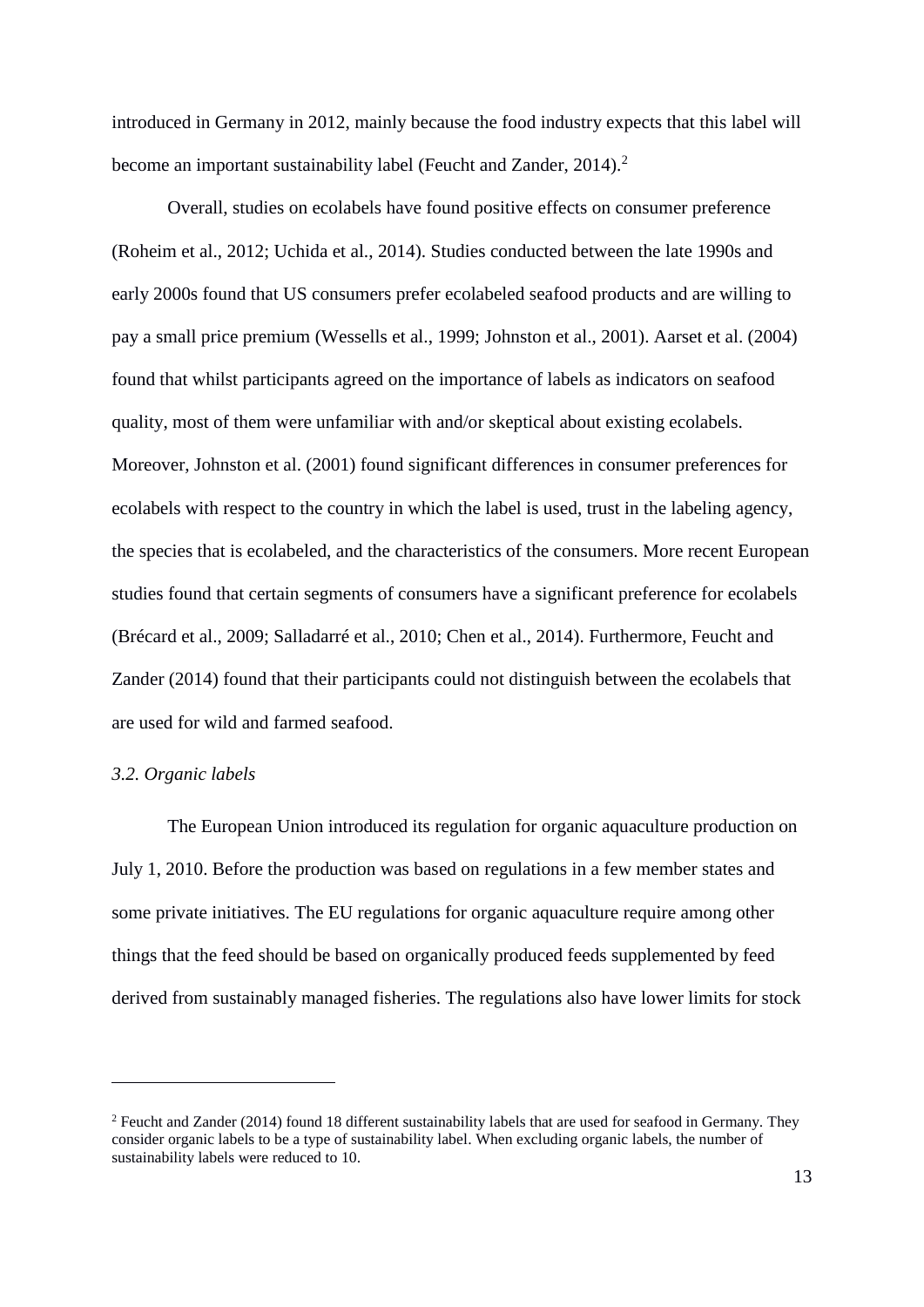introduced in Germany in 2012, mainly because the food industry expects that this label will become an important sustainability label (Feucht and Zander, 2014).<sup>2</sup>

Overall, studies on ecolabels have found positive effects on consumer preference (Roheim et al., 2012; Uchida et al., 2014). Studies conducted between the late 1990s and early 2000s found that US consumers prefer ecolabeled seafood products and are willing to pay a small price premium (Wessells et al., 1999; Johnston et al., 2001). Aarset et al. (2004) found that whilst participants agreed on the importance of labels as indicators on seafood quality, most of them were unfamiliar with and/or skeptical about existing ecolabels. Moreover, Johnston et al. (2001) found significant differences in consumer preferences for ecolabels with respect to the country in which the label is used, trust in the labeling agency, the species that is ecolabeled, and the characteristics of the consumers. More recent European studies found that certain segments of consumers have a significant preference for ecolabels (Brécard et al., 2009; Salladarré et al., 2010; Chen et al., 2014). Furthermore, Feucht and Zander (2014) found that their participants could not distinguish between the ecolabels that are used for wild and farmed seafood.

#### *3.2. Organic labels*

1

The European Union introduced its regulation for organic aquaculture production on July 1, 2010. Before the production was based on regulations in a few member states and some private initiatives. The EU regulations for organic aquaculture require among other things that the feed should be based on organically produced feeds supplemented by feed derived from sustainably managed fisheries. The regulations also have lower limits for stock

<sup>2</sup> Feucht and Zander (2014) found 18 different sustainability labels that are used for seafood in Germany. They consider organic labels to be a type of sustainability label. When excluding organic labels, the number of sustainability labels were reduced to 10.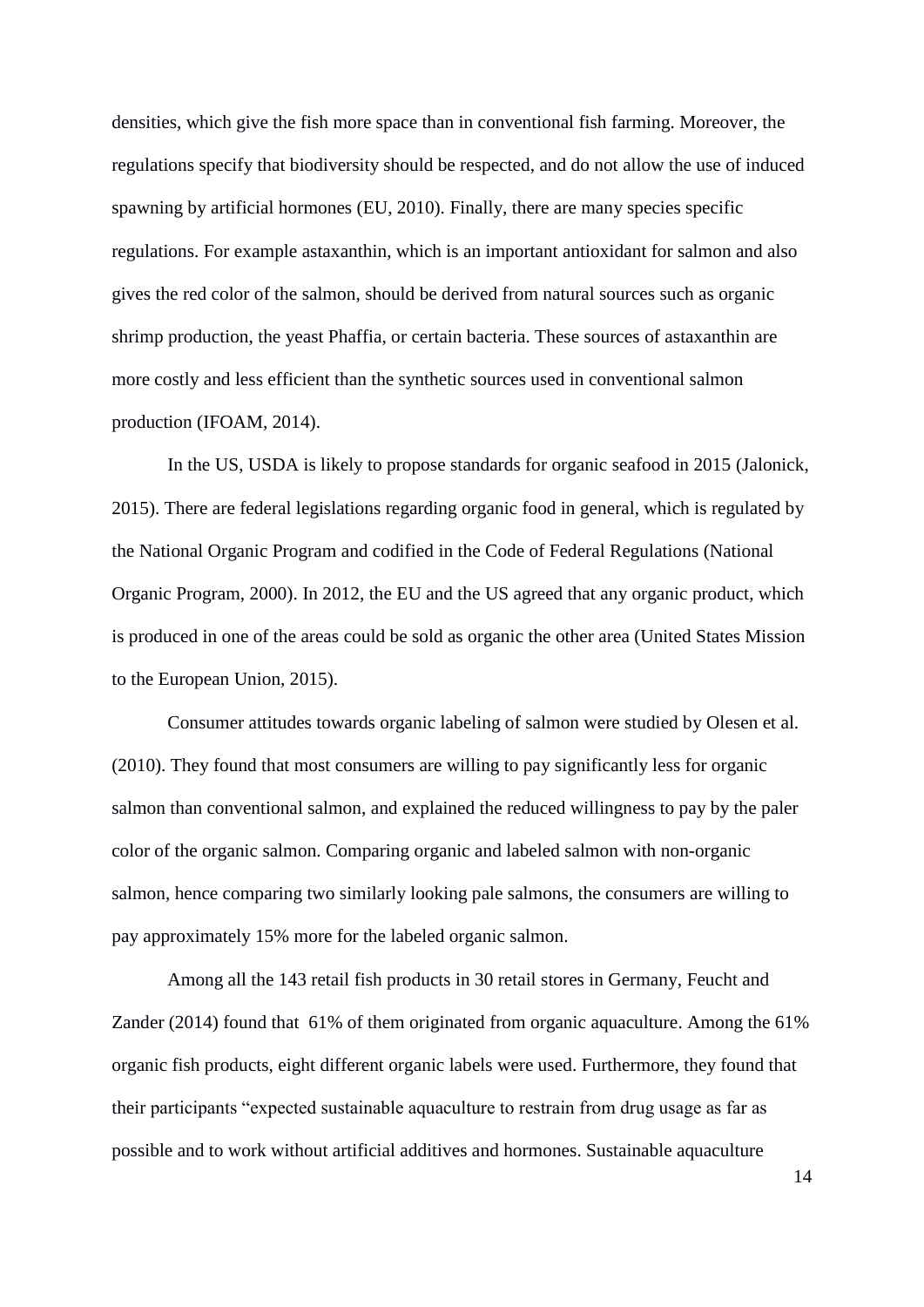densities, which give the fish more space than in conventional fish farming. Moreover, the regulations specify that biodiversity should be respected, and do not allow the use of induced spawning by artificial hormones (EU, 2010). Finally, there are many species specific regulations. For example astaxanthin, which is an important antioxidant for salmon and also gives the red color of the salmon, should be derived from natural sources such as organic shrimp production, the yeast Phaffia, or certain bacteria. These sources of astaxanthin are more costly and less efficient than the synthetic sources used in conventional salmon production (IFOAM, 2014).

In the US, USDA is likely to propose standards for organic seafood in 2015 (Jalonick, 2015). There are federal legislations regarding organic food in general, which is regulated by the National Organic Program and codified in the Code of Federal Regulations (National Organic Program, 2000). In 2012, the EU and the US agreed that any organic product, which is produced in one of the areas could be sold as organic the other area (United States Mission to the European Union, 2015).

Consumer attitudes towards organic labeling of salmon were studied by Olesen et al. (2010). They found that most consumers are willing to pay significantly less for organic salmon than conventional salmon, and explained the reduced willingness to pay by the paler color of the organic salmon. Comparing organic and labeled salmon with non-organic salmon, hence comparing two similarly looking pale salmons, the consumers are willing to pay approximately 15% more for the labeled organic salmon.

Among all the 143 retail fish products in 30 retail stores in Germany, Feucht and Zander (2014) found that 61% of them originated from organic aquaculture. Among the 61% organic fish products, eight different organic labels were used. Furthermore, they found that their participants "expected sustainable aquaculture to restrain from drug usage as far as possible and to work without artificial additives and hormones. Sustainable aquaculture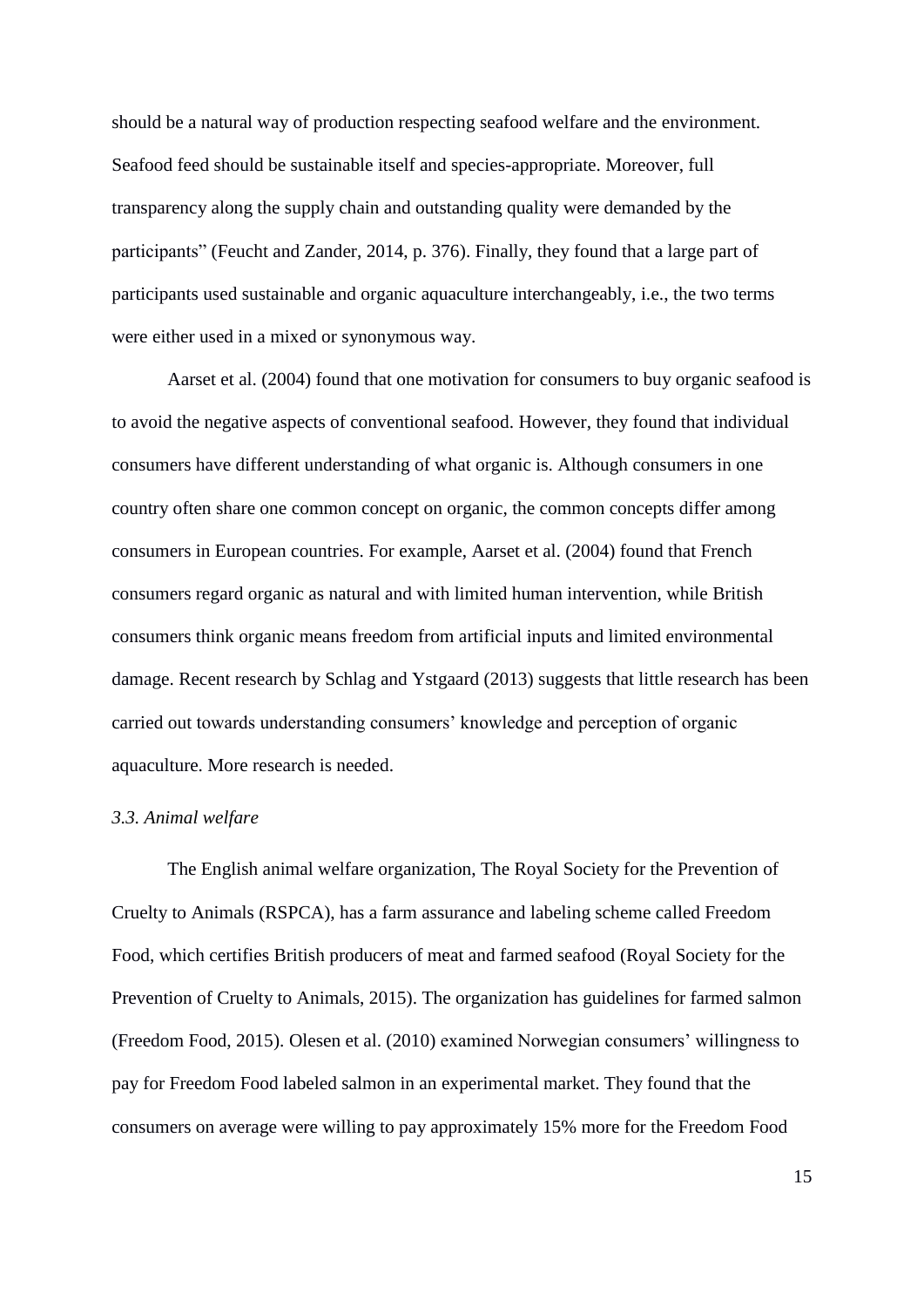should be a natural way of production respecting seafood welfare and the environment. Seafood feed should be sustainable itself and species-appropriate. Moreover, full transparency along the supply chain and outstanding quality were demanded by the participants" (Feucht and Zander, 2014, p. 376). Finally, they found that a large part of participants used sustainable and organic aquaculture interchangeably, i.e., the two terms were either used in a mixed or synonymous way.

Aarset et al. (2004) found that one motivation for consumers to buy organic seafood is to avoid the negative aspects of conventional seafood. However, they found that individual consumers have different understanding of what organic is. Although consumers in one country often share one common concept on organic, the common concepts differ among consumers in European countries. For example, Aarset et al. (2004) found that French consumers regard organic as natural and with limited human intervention, while British consumers think organic means freedom from artificial inputs and limited environmental damage. Recent research by Schlag and Ystgaard (2013) suggests that little research has been carried out towards understanding consumers' knowledge and perception of organic aquaculture. More research is needed.

#### *3.3. Animal welfare*

The English animal welfare organization, The Royal Society for the Prevention of Cruelty to Animals (RSPCA), has a farm assurance and labeling scheme called Freedom Food, which certifies British producers of meat and farmed seafood (Royal Society for the Prevention of Cruelty to Animals, 2015). The organization has guidelines for farmed salmon (Freedom Food, 2015). Olesen et al. (2010) examined Norwegian consumers' willingness to pay for Freedom Food labeled salmon in an experimental market. They found that the consumers on average were willing to pay approximately 15% more for the Freedom Food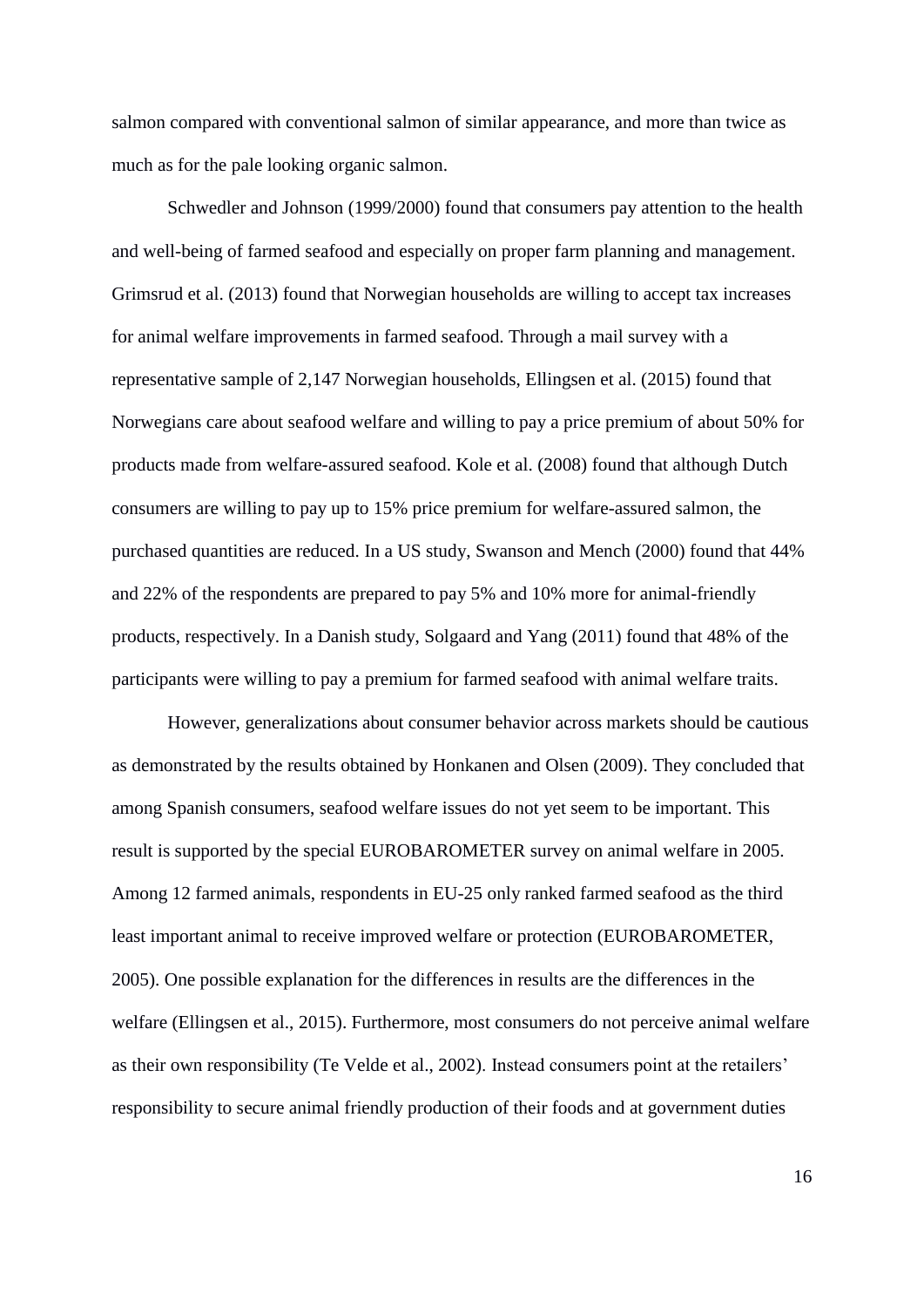salmon compared with conventional salmon of similar appearance, and more than twice as much as for the pale looking organic salmon.

Schwedler and Johnson (1999/2000) found that consumers pay attention to the health and well-being of farmed seafood and especially on proper farm planning and management. Grimsrud et al. (2013) found that Norwegian households are willing to accept tax increases for animal welfare improvements in farmed seafood. Through a mail survey with a representative sample of 2,147 Norwegian households, Ellingsen et al. (2015) found that Norwegians care about seafood welfare and willing to pay a price premium of about 50% for products made from welfare-assured seafood. Kole et al. (2008) found that although Dutch consumers are willing to pay up to 15% price premium for welfare-assured salmon, the purchased quantities are reduced. In a US study, Swanson and Mench (2000) found that 44% and 22% of the respondents are prepared to pay 5% and 10% more for animal-friendly products, respectively. In a Danish study, Solgaard and Yang (2011) found that 48% of the participants were willing to pay a premium for farmed seafood with animal welfare traits.

However, generalizations about consumer behavior across markets should be cautious as demonstrated by the results obtained by Honkanen and Olsen (2009). They concluded that among Spanish consumers, seafood welfare issues do not yet seem to be important. This result is supported by the special EUROBAROMETER survey on animal welfare in 2005. Among 12 farmed animals, respondents in EU-25 only ranked farmed seafood as the third least important animal to receive improved welfare or protection (EUROBAROMETER, 2005). One possible explanation for the differences in results are the differences in the welfare (Ellingsen et al., 2015). Furthermore, most consumers do not perceive animal welfare as their own responsibility (Te Velde et al., 2002). Instead consumers point at the retailers' responsibility to secure animal friendly production of their foods and at government duties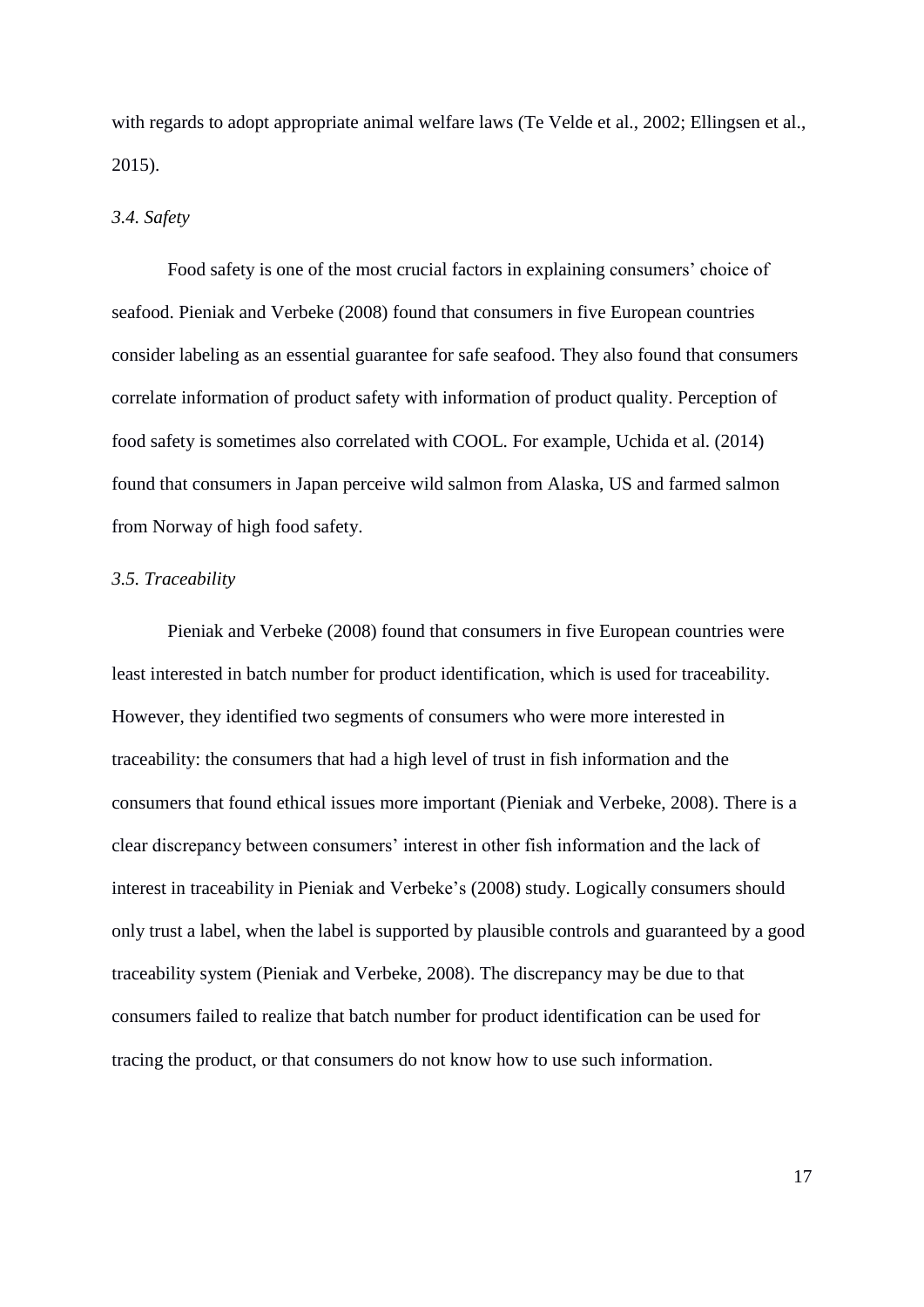with regards to adopt appropriate animal welfare laws (Te Velde et al., 2002; Ellingsen et al., 2015).

#### *3.4. Safety*

Food safety is one of the most crucial factors in explaining consumers' choice of seafood. Pieniak and Verbeke (2008) found that consumers in five European countries consider labeling as an essential guarantee for safe seafood. They also found that consumers correlate information of product safety with information of product quality. Perception of food safety is sometimes also correlated with COOL. For example, Uchida et al. (2014) found that consumers in Japan perceive wild salmon from Alaska, US and farmed salmon from Norway of high food safety.

#### *3.5. Traceability*

Pieniak and Verbeke (2008) found that consumers in five European countries were least interested in batch number for product identification, which is used for traceability. However, they identified two segments of consumers who were more interested in traceability: the consumers that had a high level of trust in fish information and the consumers that found ethical issues more important (Pieniak and Verbeke, 2008). There is a clear discrepancy between consumers' interest in other fish information and the lack of interest in traceability in Pieniak and Verbeke's (2008) study. Logically consumers should only trust a label, when the label is supported by plausible controls and guaranteed by a good traceability system (Pieniak and Verbeke, 2008). The discrepancy may be due to that consumers failed to realize that batch number for product identification can be used for tracing the product, or that consumers do not know how to use such information.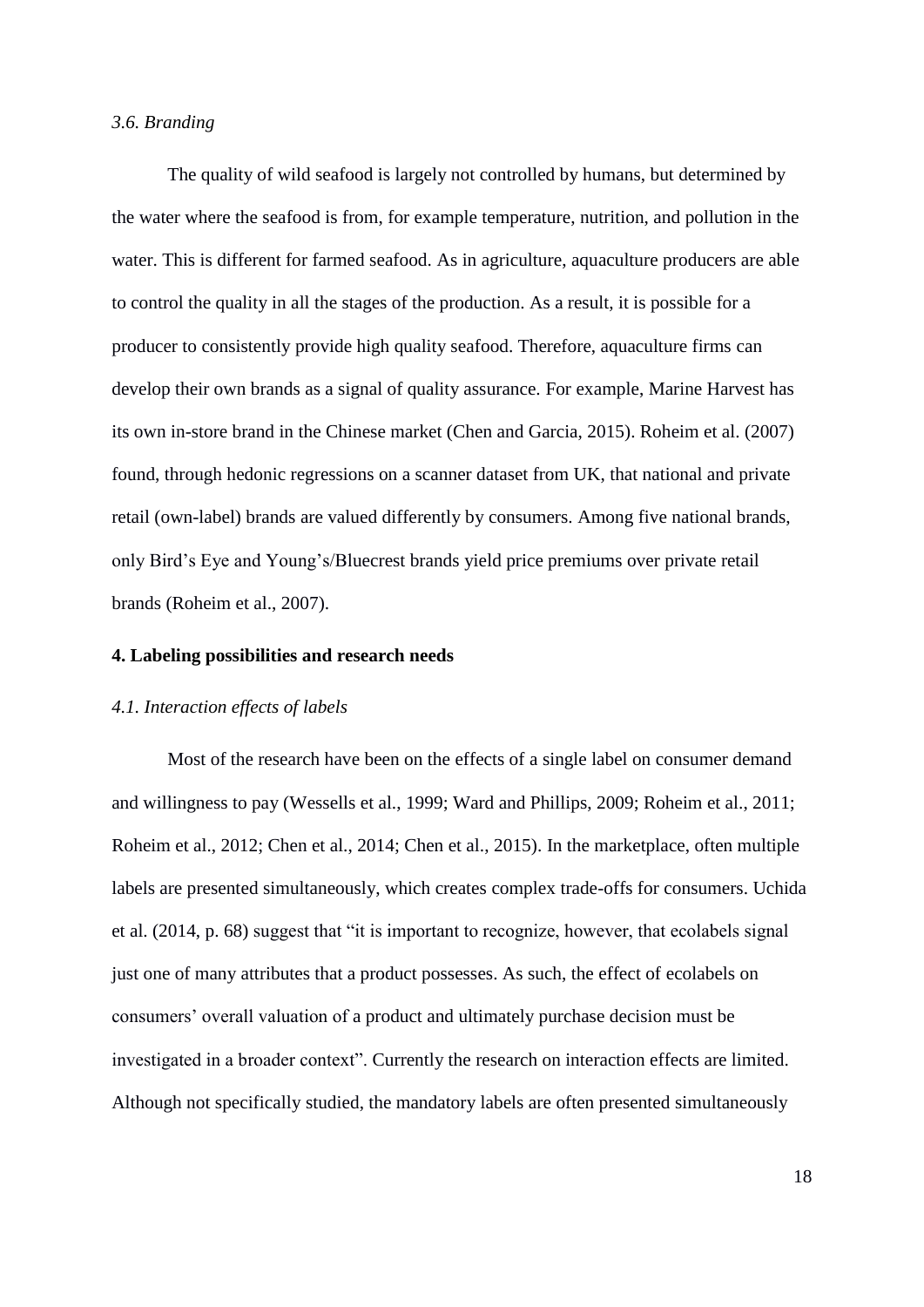#### *3.6. Branding*

The quality of wild seafood is largely not controlled by humans, but determined by the water where the seafood is from, for example temperature, nutrition, and pollution in the water. This is different for farmed seafood. As in agriculture, aquaculture producers are able to control the quality in all the stages of the production. As a result, it is possible for a producer to consistently provide high quality seafood. Therefore, aquaculture firms can develop their own brands as a signal of quality assurance. For example, Marine Harvest has its own in-store brand in the Chinese market (Chen and Garcia, 2015). Roheim et al. (2007) found, through hedonic regressions on a scanner dataset from UK, that national and private retail (own-label) brands are valued differently by consumers. Among five national brands, only Bird's Eye and Young's/Bluecrest brands yield price premiums over private retail brands (Roheim et al., 2007).

#### **4. Labeling possibilities and research needs**

# *4.1. Interaction effects of labels*

Most of the research have been on the effects of a single label on consumer demand and willingness to pay (Wessells et al., 1999; Ward and Phillips, 2009; Roheim et al., 2011; Roheim et al., 2012; Chen et al., 2014; Chen et al., 2015). In the marketplace, often multiple labels are presented simultaneously, which creates complex trade-offs for consumers. Uchida et al. (2014, p. 68) suggest that "it is important to recognize, however, that ecolabels signal just one of many attributes that a product possesses. As such, the effect of ecolabels on consumers' overall valuation of a product and ultimately purchase decision must be investigated in a broader context". Currently the research on interaction effects are limited. Although not specifically studied, the mandatory labels are often presented simultaneously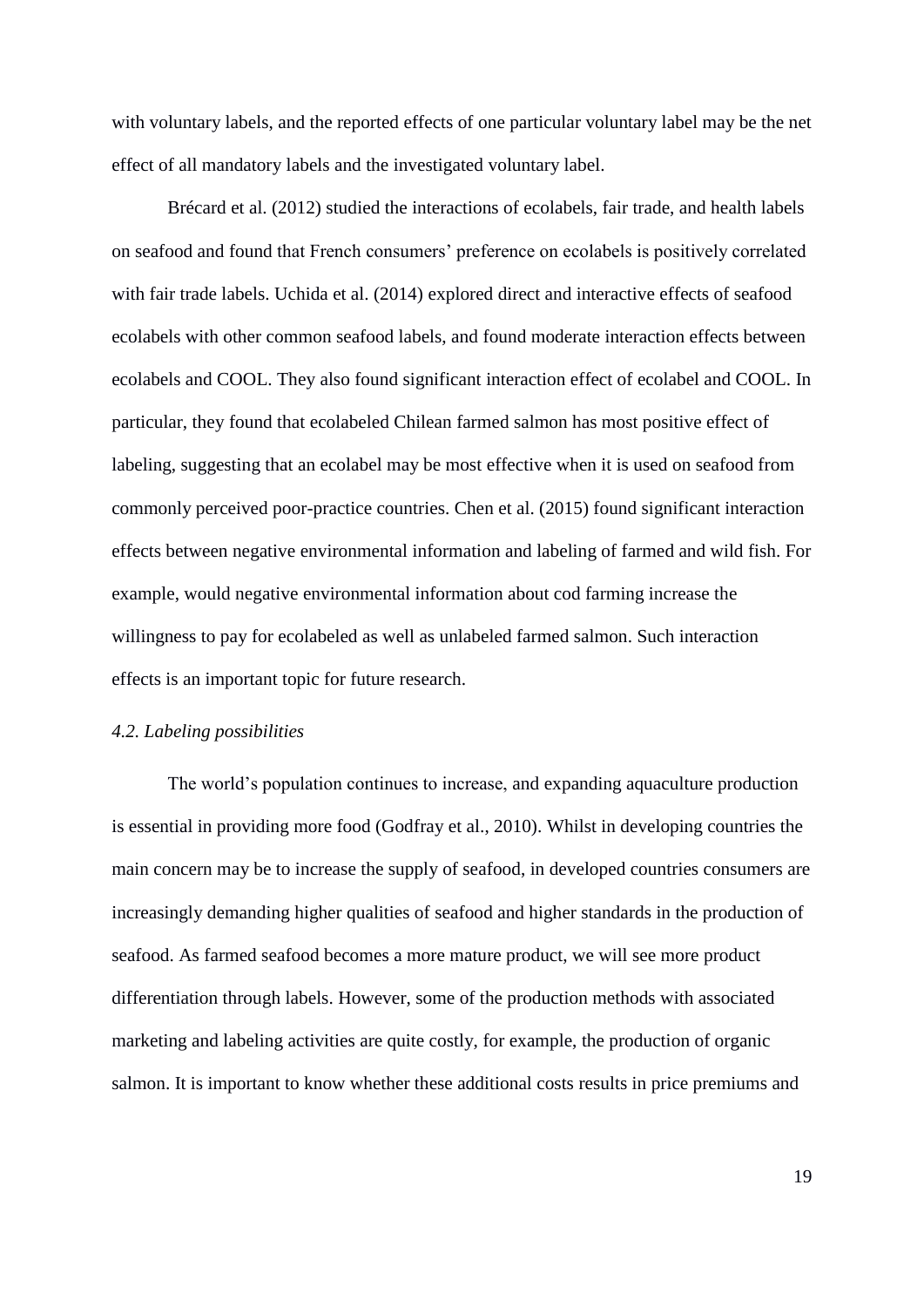with voluntary labels, and the reported effects of one particular voluntary label may be the net effect of all mandatory labels and the investigated voluntary label.

Brécard et al. (2012) studied the interactions of ecolabels, fair trade, and health labels on seafood and found that French consumers' preference on ecolabels is positively correlated with fair trade labels. Uchida et al. (2014) explored direct and interactive effects of seafood ecolabels with other common seafood labels, and found moderate interaction effects between ecolabels and COOL. They also found significant interaction effect of ecolabel and COOL. In particular, they found that ecolabeled Chilean farmed salmon has most positive effect of labeling, suggesting that an ecolabel may be most effective when it is used on seafood from commonly perceived poor-practice countries. Chen et al. (2015) found significant interaction effects between negative environmental information and labeling of farmed and wild fish. For example, would negative environmental information about cod farming increase the willingness to pay for ecolabeled as well as unlabeled farmed salmon. Such interaction effects is an important topic for future research.

# *4.2. Labeling possibilities*

The world's population continues to increase, and expanding aquaculture production is essential in providing more food (Godfray et al., 2010). Whilst in developing countries the main concern may be to increase the supply of seafood, in developed countries consumers are increasingly demanding higher qualities of seafood and higher standards in the production of seafood. As farmed seafood becomes a more mature product, we will see more product differentiation through labels. However, some of the production methods with associated marketing and labeling activities are quite costly, for example, the production of organic salmon. It is important to know whether these additional costs results in price premiums and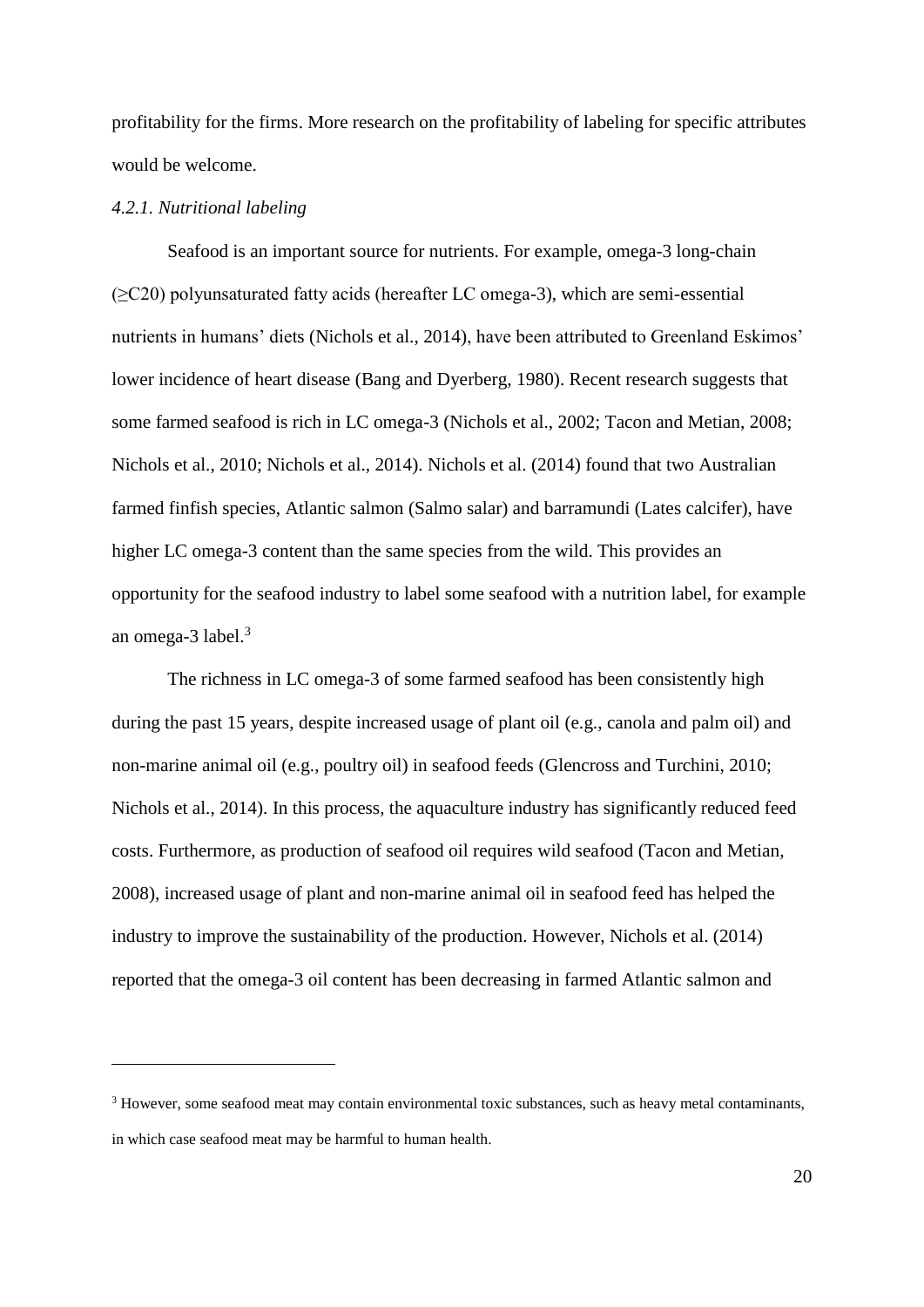profitability for the firms. More research on the profitability of labeling for specific attributes would be welcome.

#### *4.2.1. Nutritional labeling*

1

Seafood is an important source for nutrients. For example, omega-3 long-chain  $(\geq 20)$  polyunsaturated fatty acids (hereafter LC omega-3), which are semi-essential nutrients in humans' diets (Nichols et al., 2014), have been attributed to Greenland Eskimos' lower incidence of heart disease (Bang and Dyerberg, 1980). Recent research suggests that some farmed seafood is rich in LC omega-3 (Nichols et al., 2002; Tacon and Metian, 2008; Nichols et al., 2010; Nichols et al., 2014). Nichols et al. (2014) found that two Australian farmed finfish species, Atlantic salmon (Salmo salar) and barramundi (Lates calcifer), have higher LC omega-3 content than the same species from the wild. This provides an opportunity for the seafood industry to label some seafood with a nutrition label, for example an omega-3 label. $3$ 

The richness in LC omega-3 of some farmed seafood has been consistently high during the past 15 years, despite increased usage of plant oil (e.g., canola and palm oil) and non-marine animal oil (e.g., poultry oil) in seafood feeds (Glencross and Turchini, 2010; Nichols et al., 2014). In this process, the aquaculture industry has significantly reduced feed costs. Furthermore, as production of seafood oil requires wild seafood (Tacon and Metian, 2008), increased usage of plant and non-marine animal oil in seafood feed has helped the industry to improve the sustainability of the production. However, Nichols et al. (2014) reported that the omega-3 oil content has been decreasing in farmed Atlantic salmon and

<sup>&</sup>lt;sup>3</sup> However, some seafood meat may contain environmental toxic substances, such as heavy metal contaminants, in which case seafood meat may be harmful to human health.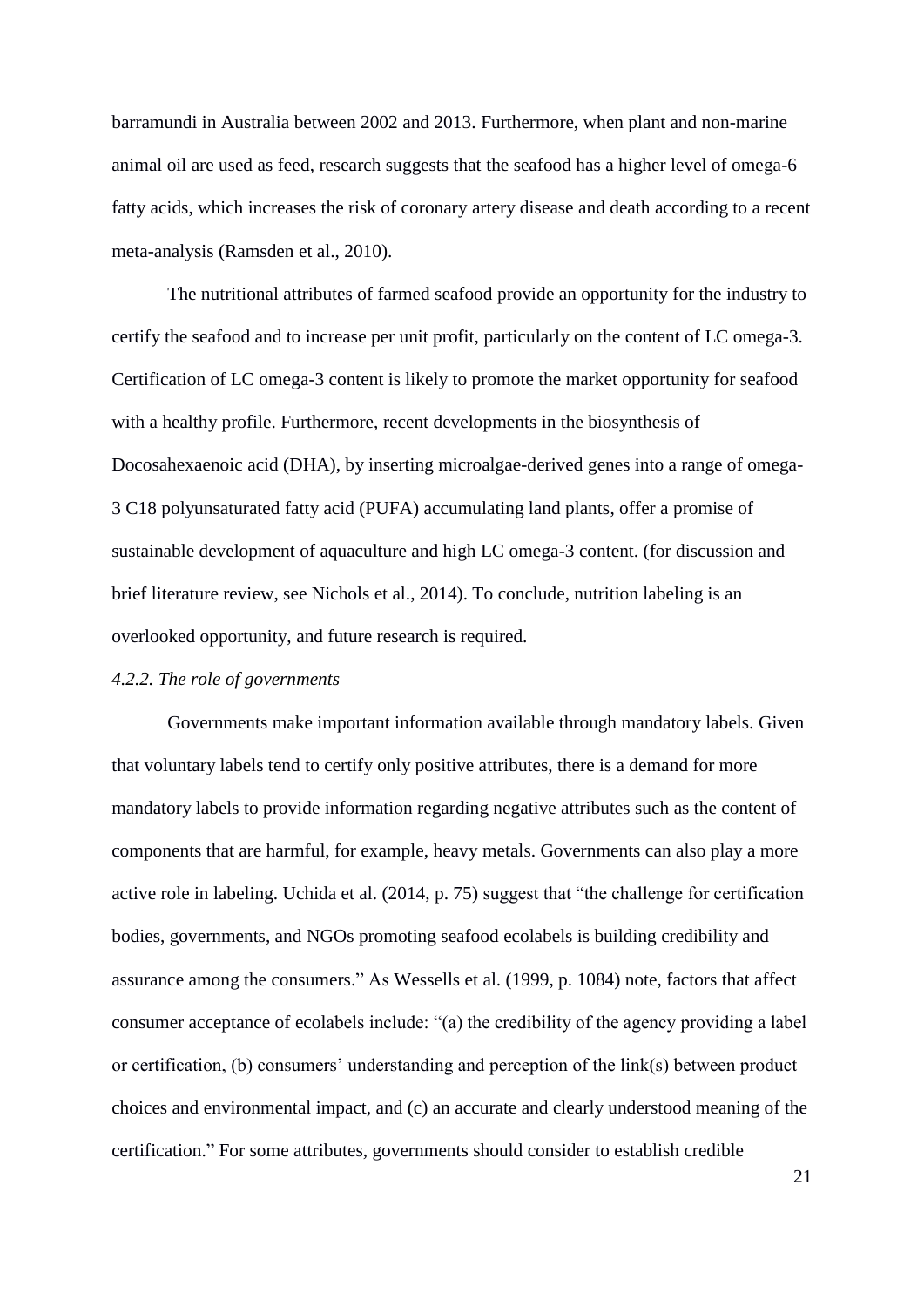barramundi in Australia between 2002 and 2013. Furthermore, when plant and non-marine animal oil are used as feed, research suggests that the seafood has a higher level of omega-6 fatty acids, which increases the risk of coronary artery disease and death according to a recent meta-analysis (Ramsden et al., 2010).

The nutritional attributes of farmed seafood provide an opportunity for the industry to certify the seafood and to increase per unit profit, particularly on the content of LC omega-3. Certification of LC omega-3 content is likely to promote the market opportunity for seafood with a healthy profile. Furthermore, recent developments in the biosynthesis of Docosahexaenoic acid (DHA), by inserting microalgae-derived genes into a range of omega-3 C18 polyunsaturated fatty acid (PUFA) accumulating land plants, offer a promise of sustainable development of aquaculture and high LC omega-3 content. (for discussion and brief literature review, see Nichols et al., 2014). To conclude, nutrition labeling is an overlooked opportunity, and future research is required.

#### *4.2.2. The role of governments*

Governments make important information available through mandatory labels. Given that voluntary labels tend to certify only positive attributes, there is a demand for more mandatory labels to provide information regarding negative attributes such as the content of components that are harmful, for example, heavy metals. Governments can also play a more active role in labeling. Uchida et al. (2014, p. 75) suggest that "the challenge for certification bodies, governments, and NGOs promoting seafood ecolabels is building credibility and assurance among the consumers." As Wessells et al. (1999, p. 1084) note, factors that affect consumer acceptance of ecolabels include: "(a) the credibility of the agency providing a label or certification, (b) consumers' understanding and perception of the link(s) between product choices and environmental impact, and (c) an accurate and clearly understood meaning of the certification." For some attributes, governments should consider to establish credible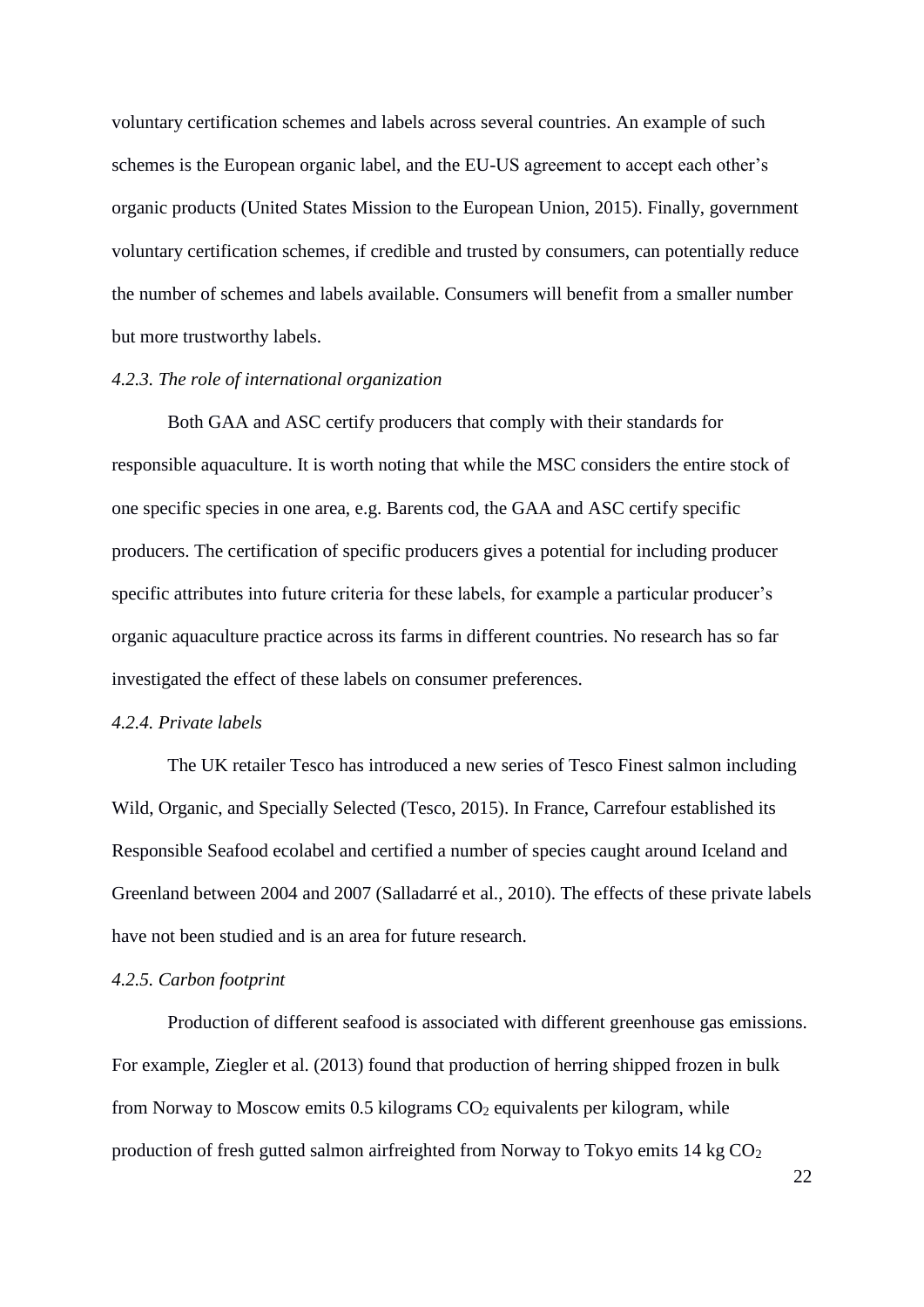voluntary certification schemes and labels across several countries. An example of such schemes is the European organic label, and the EU-US agreement to accept each other's organic products (United States Mission to the European Union, 2015). Finally, government voluntary certification schemes, if credible and trusted by consumers, can potentially reduce the number of schemes and labels available. Consumers will benefit from a smaller number but more trustworthy labels.

#### *4.2.3. The role of international organization*

Both GAA and ASC certify producers that comply with their standards for responsible aquaculture. It is worth noting that while the MSC considers the entire stock of one specific species in one area, e.g. Barents cod, the GAA and ASC certify specific producers. The certification of specific producers gives a potential for including producer specific attributes into future criteria for these labels, for example a particular producer's organic aquaculture practice across its farms in different countries. No research has so far investigated the effect of these labels on consumer preferences.

# *4.2.4. Private labels*

The UK retailer Tesco has introduced a new series of Tesco Finest salmon including Wild, Organic, and Specially Selected (Tesco, 2015). In France, Carrefour established its Responsible Seafood ecolabel and certified a number of species caught around Iceland and Greenland between 2004 and 2007 (Salladarré et al., 2010). The effects of these private labels have not been studied and is an area for future research.

#### *4.2.5. Carbon footprint*

Production of different seafood is associated with different greenhouse gas emissions. For example, Ziegler et al. (2013) found that production of herring shipped frozen in bulk from Norway to Moscow emits  $0.5$  kilograms  $CO<sub>2</sub>$  equivalents per kilogram, while production of fresh gutted salmon airfreighted from Norway to Tokyo emits  $14 \text{ kg } CO<sub>2</sub>$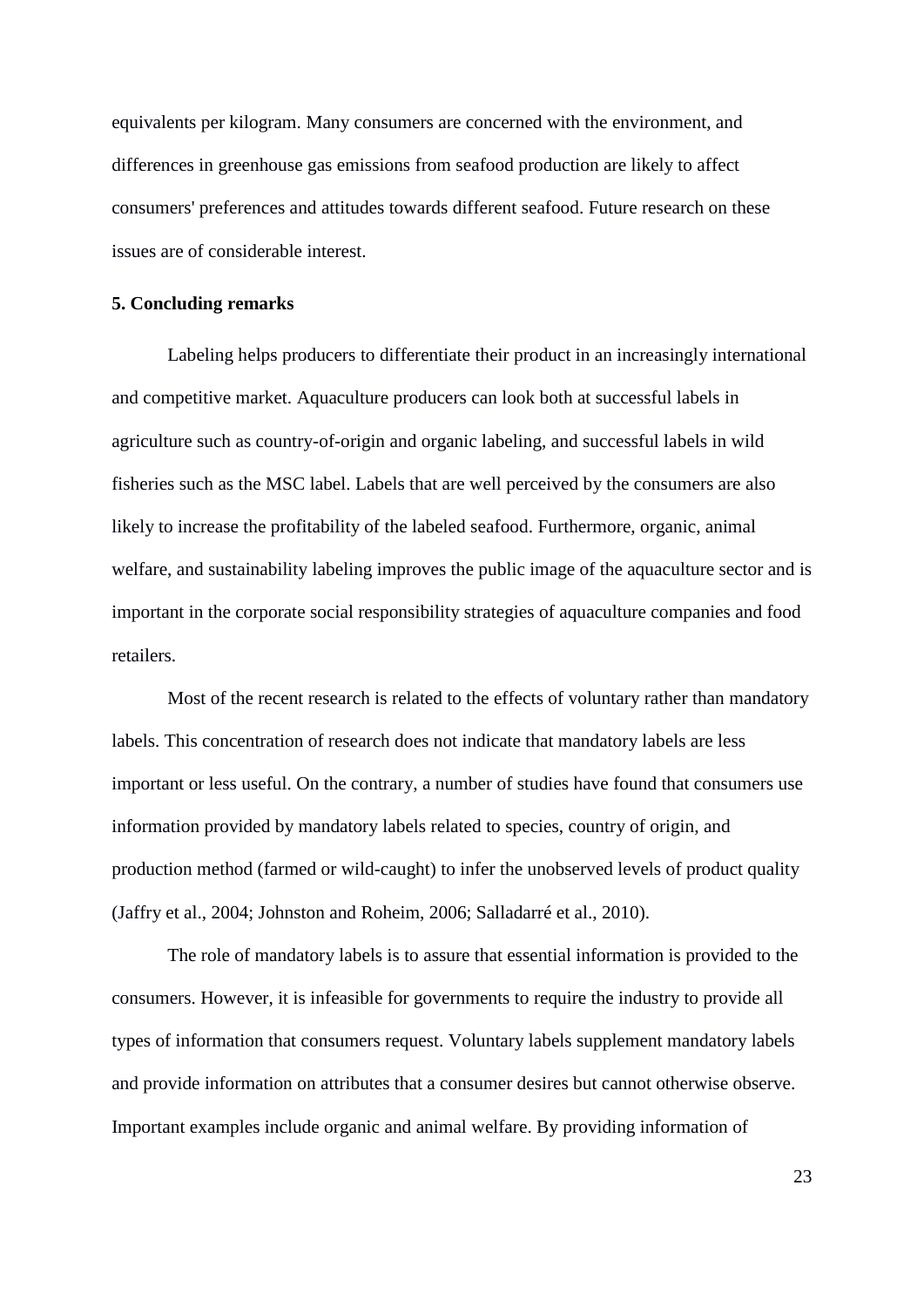equivalents per kilogram. Many consumers are concerned with the environment, and differences in greenhouse gas emissions from seafood production are likely to affect consumers' preferences and attitudes towards different seafood. Future research on these issues are of considerable interest.

## **5. Concluding remarks**

Labeling helps producers to differentiate their product in an increasingly international and competitive market. Aquaculture producers can look both at successful labels in agriculture such as country-of-origin and organic labeling, and successful labels in wild fisheries such as the MSC label. Labels that are well perceived by the consumers are also likely to increase the profitability of the labeled seafood. Furthermore, organic, animal welfare, and sustainability labeling improves the public image of the aquaculture sector and is important in the corporate social responsibility strategies of aquaculture companies and food retailers.

Most of the recent research is related to the effects of voluntary rather than mandatory labels. This concentration of research does not indicate that mandatory labels are less important or less useful. On the contrary, a number of studies have found that consumers use information provided by mandatory labels related to species, country of origin, and production method (farmed or wild-caught) to infer the unobserved levels of product quality (Jaffry et al., 2004; Johnston and Roheim, 2006; Salladarré et al., 2010).

The role of mandatory labels is to assure that essential information is provided to the consumers. However, it is infeasible for governments to require the industry to provide all types of information that consumers request. Voluntary labels supplement mandatory labels and provide information on attributes that a consumer desires but cannot otherwise observe. Important examples include organic and animal welfare. By providing information of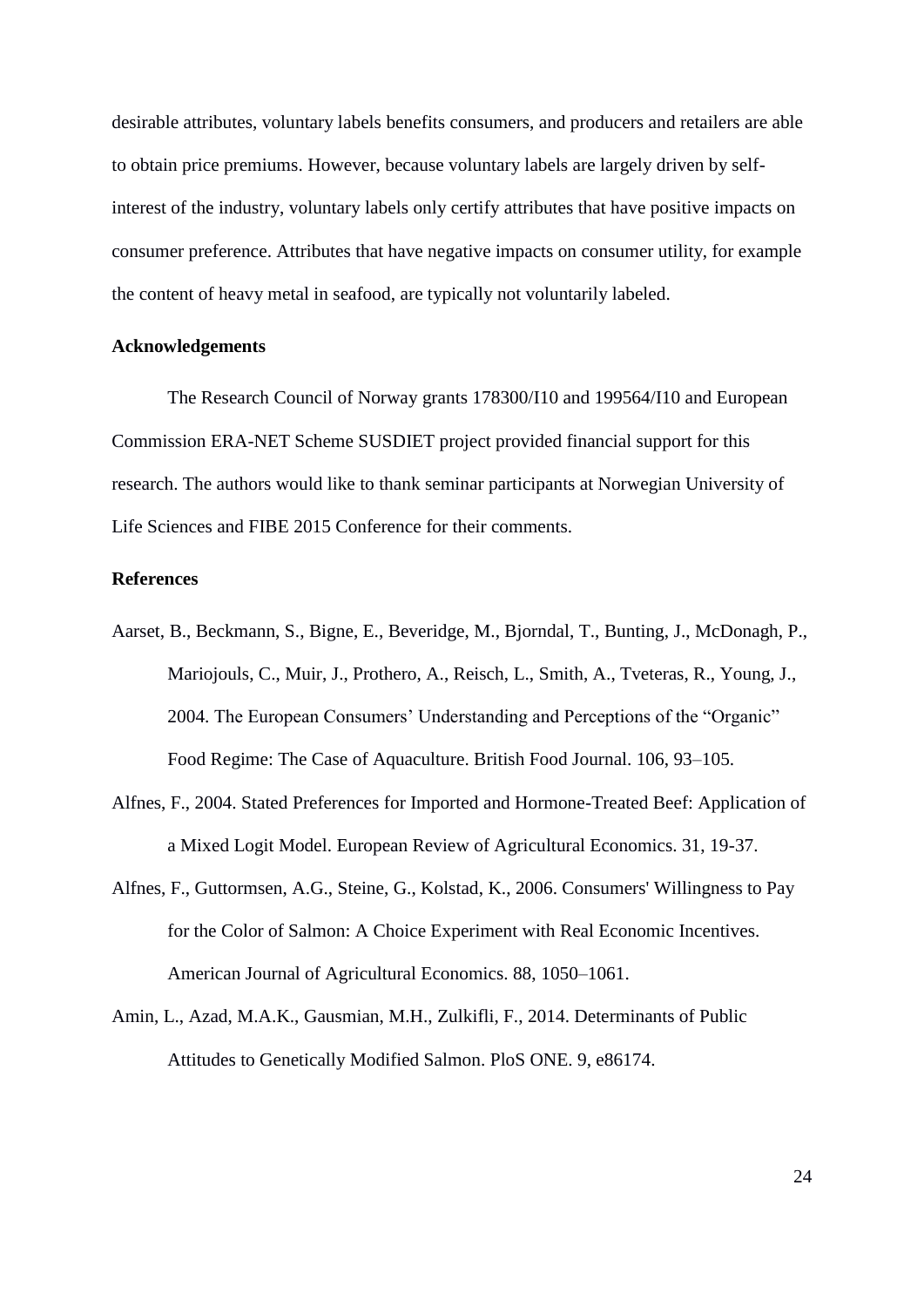desirable attributes, voluntary labels benefits consumers, and producers and retailers are able to obtain price premiums. However, because voluntary labels are largely driven by selfinterest of the industry, voluntary labels only certify attributes that have positive impacts on consumer preference. Attributes that have negative impacts on consumer utility, for example the content of heavy metal in seafood, are typically not voluntarily labeled.

#### **Acknowledgements**

The Research Council of Norway grants 178300/I10 and 199564/I10 and European Commission ERA-NET Scheme SUSDIET project provided financial support for this research. The authors would like to thank seminar participants at Norwegian University of Life Sciences and FIBE 2015 Conference for their comments.

## **References**

- Aarset, B., Beckmann, S., Bigne, E., Beveridge, M., Bjorndal, T., Bunting, J., McDonagh, P., Mariojouls, C., Muir, J., Prothero, A., Reisch, L., Smith, A., Tveteras, R., Young, J., 2004. The European Consumers' Understanding and Perceptions of the "Organic" Food Regime: The Case of Aquaculture. British Food Journal. 106, 93–105.
- Alfnes, F., 2004. Stated Preferences for Imported and Hormone-Treated Beef: Application of a Mixed Logit Model. European Review of Agricultural Economics. 31, 19-37.
- Alfnes, F., Guttormsen, A.G., Steine, G., Kolstad, K., 2006. Consumers' Willingness to Pay for the Color of Salmon: A Choice Experiment with Real Economic Incentives. American Journal of Agricultural Economics. 88, 1050–1061.
- Amin, L., Azad, M.A.K., Gausmian, M.H., Zulkifli, F., 2014. Determinants of Public Attitudes to Genetically Modified Salmon. PloS ONE. 9, e86174.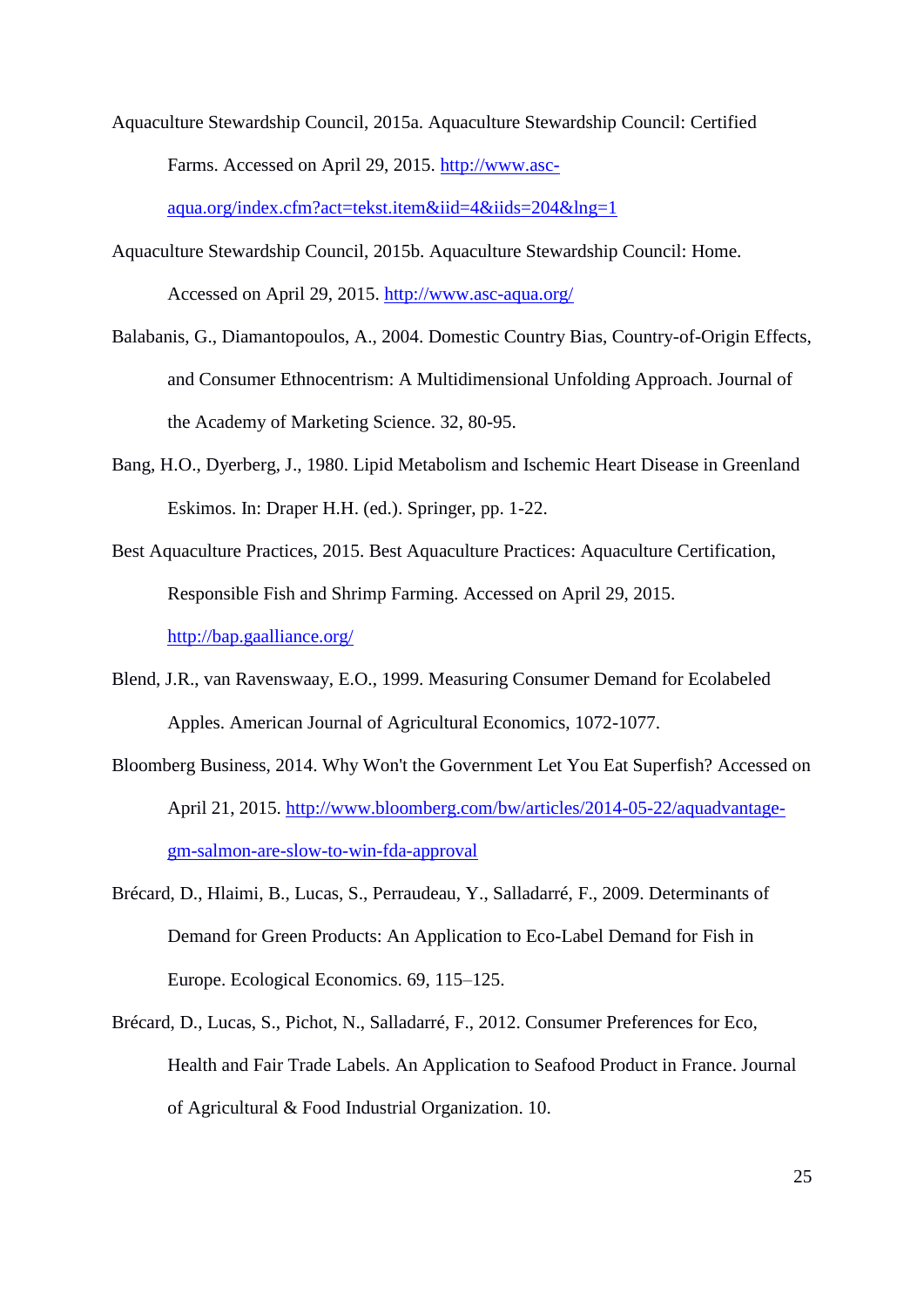- Aquaculture Stewardship Council, 2015a. Aquaculture Stewardship Council: Certified Farms. Accessed on April 29, 2015. [http://www.asc](http://www.asc-aqua.org/index.cfm?act=tekst.item&iid=4&iids=204&lng=1)[aqua.org/index.cfm?act=tekst.item&iid=4&iids=204&lng=1](http://www.asc-aqua.org/index.cfm?act=tekst.item&iid=4&iids=204&lng=1)
- Aquaculture Stewardship Council, 2015b. Aquaculture Stewardship Council: Home. Accessed on April 29, 2015.<http://www.asc-aqua.org/>
- Balabanis, G., Diamantopoulos, A., 2004. Domestic Country Bias, Country-of-Origin Effects, and Consumer Ethnocentrism: A Multidimensional Unfolding Approach. Journal of the Academy of Marketing Science. 32, 80-95.
- Bang, H.O., Dyerberg, J., 1980. Lipid Metabolism and Ischemic Heart Disease in Greenland Eskimos. In: Draper H.H. (ed.). Springer, pp. 1-22.
- Best Aquaculture Practices, 2015. Best Aquaculture Practices: Aquaculture Certification, Responsible Fish and Shrimp Farming. Accessed on April 29, 2015. <http://bap.gaalliance.org/>
- Blend, J.R., van Ravenswaay, E.O., 1999. Measuring Consumer Demand for Ecolabeled Apples. American Journal of Agricultural Economics, 1072-1077.
- Bloomberg Business, 2014. Why Won't the Government Let You Eat Superfish? Accessed on April 21, 2015. [http://www.bloomberg.com/bw/articles/2014-05-22/aquadvantage](http://www.bloomberg.com/bw/articles/2014-05-22/aquadvantage-gm-salmon-are-slow-to-win-fda-approval)[gm-salmon-are-slow-to-win-fda-approval](http://www.bloomberg.com/bw/articles/2014-05-22/aquadvantage-gm-salmon-are-slow-to-win-fda-approval)
- Brécard, D., Hlaimi, B., Lucas, S., Perraudeau, Y., Salladarré, F., 2009. Determinants of Demand for Green Products: An Application to Eco-Label Demand for Fish in Europe. Ecological Economics. 69, 115–125.
- Brécard, D., Lucas, S., Pichot, N., Salladarré, F., 2012. Consumer Preferences for Eco, Health and Fair Trade Labels. An Application to Seafood Product in France. Journal of Agricultural & Food Industrial Organization. 10.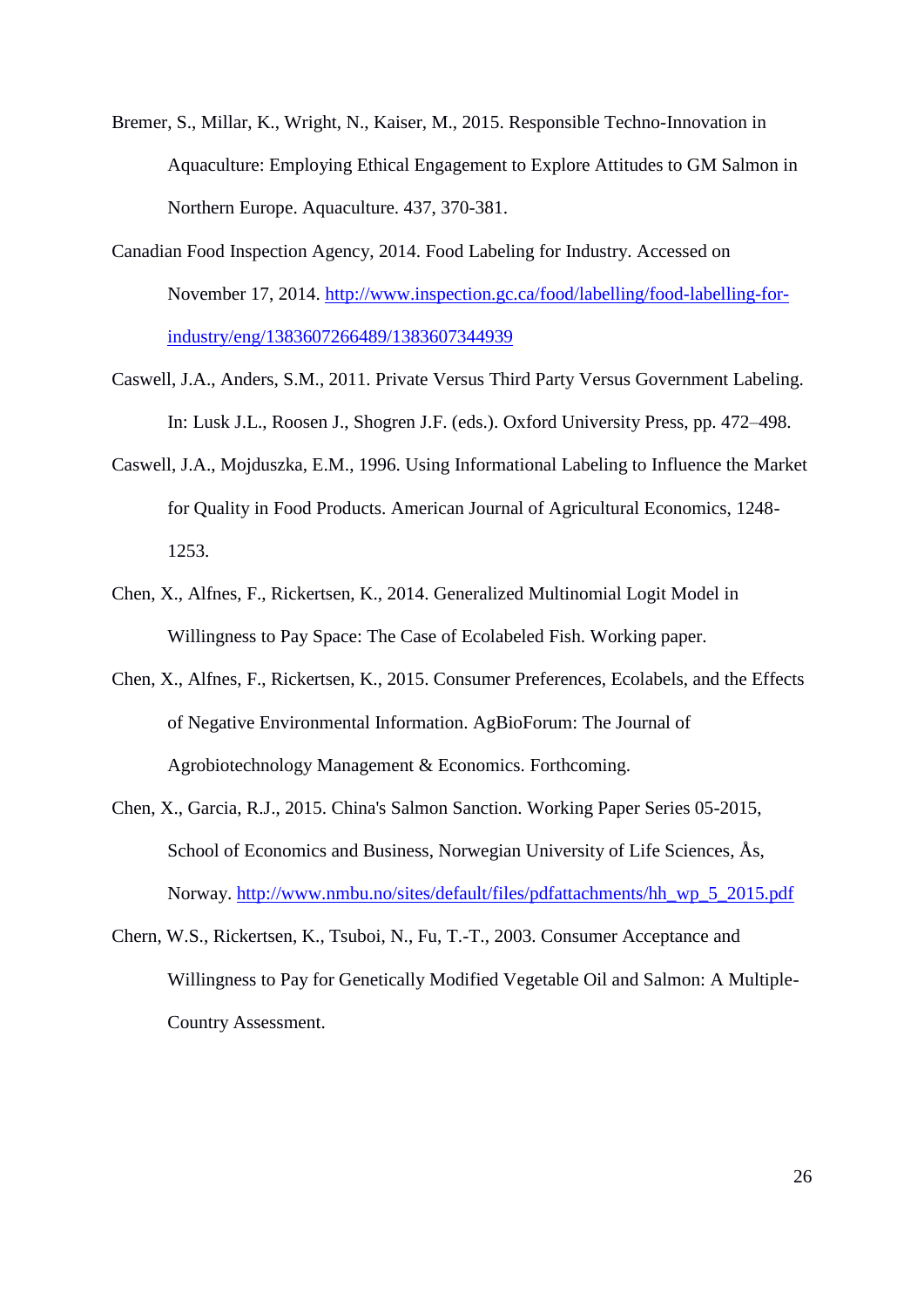- Bremer, S., Millar, K., Wright, N., Kaiser, M., 2015. Responsible Techno-Innovation in Aquaculture: Employing Ethical Engagement to Explore Attitudes to GM Salmon in Northern Europe. Aquaculture. 437, 370-381.
- Canadian Food Inspection Agency, 2014. Food Labeling for Industry. Accessed on November 17, 2014. [http://www.inspection.gc.ca/food/labelling/food-labelling-for](http://www.inspection.gc.ca/food/labelling/food-labelling-for-industry/eng/1383607266489/1383607344939)[industry/eng/1383607266489/1383607344939](http://www.inspection.gc.ca/food/labelling/food-labelling-for-industry/eng/1383607266489/1383607344939)
- Caswell, J.A., Anders, S.M., 2011. Private Versus Third Party Versus Government Labeling. In: Lusk J.L., Roosen J., Shogren J.F. (eds.). Oxford University Press, pp. 472–498.
- Caswell, J.A., Mojduszka, E.M., 1996. Using Informational Labeling to Influence the Market for Quality in Food Products. American Journal of Agricultural Economics, 1248- 1253.
- Chen, X., Alfnes, F., Rickertsen, K., 2014. Generalized Multinomial Logit Model in Willingness to Pay Space: The Case of Ecolabeled Fish. Working paper.
- Chen, X., Alfnes, F., Rickertsen, K., 2015. Consumer Preferences, Ecolabels, and the Effects of Negative Environmental Information. AgBioForum: The Journal of Agrobiotechnology Management & Economics. Forthcoming.
- Chen, X., Garcia, R.J., 2015. China's Salmon Sanction. Working Paper Series 05-2015, School of Economics and Business, Norwegian University of Life Sciences, Ås, Norway. [http://www.nmbu.no/sites/default/files/pdfattachments/hh\\_wp\\_5\\_2015.pdf](http://www.nmbu.no/sites/default/files/pdfattachments/hh_wp_5_2015.pdf)
- Chern, W.S., Rickertsen, K., Tsuboi, N., Fu, T.-T., 2003. Consumer Acceptance and Willingness to Pay for Genetically Modified Vegetable Oil and Salmon: A Multiple-Country Assessment.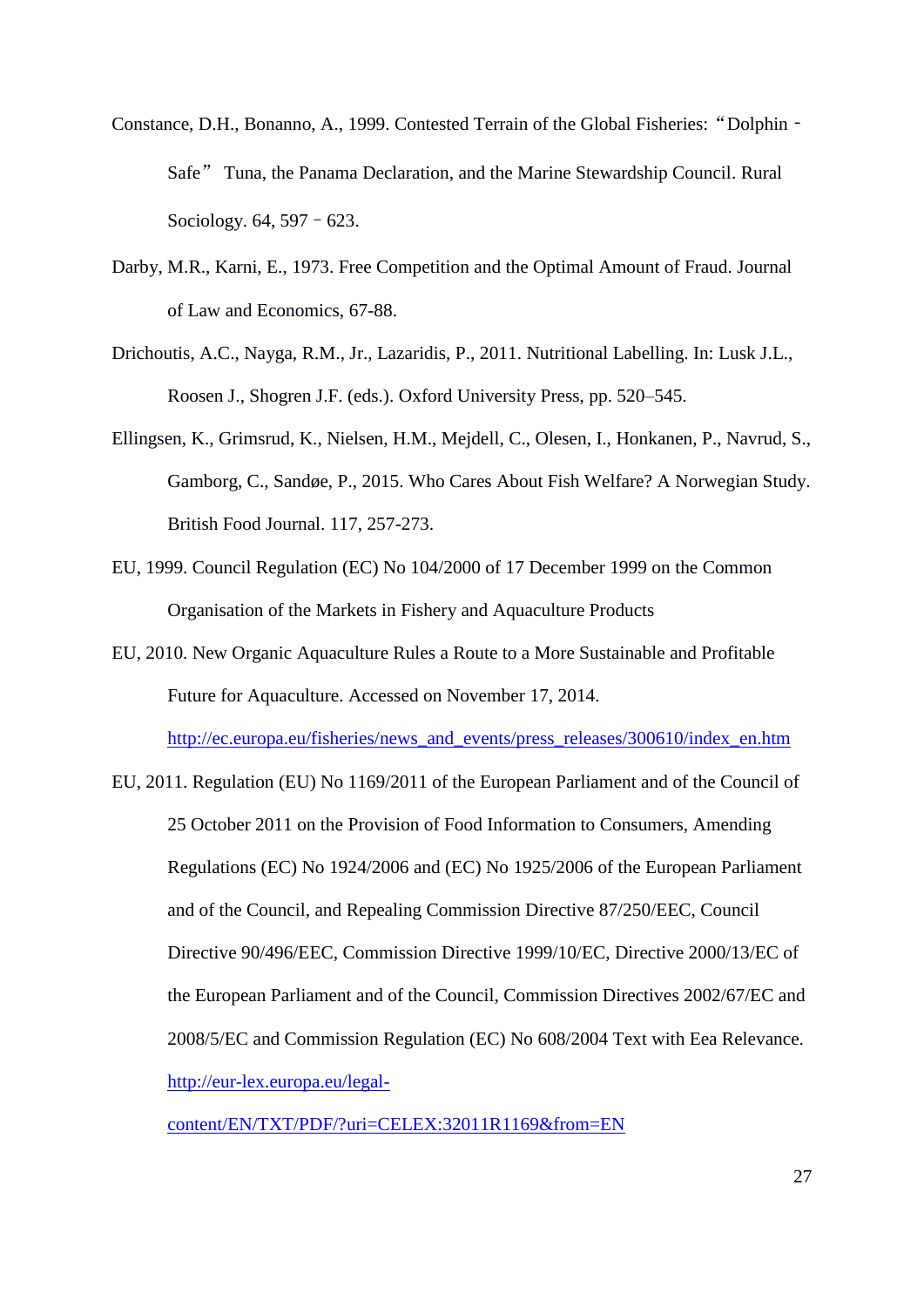- Constance, D.H., Bonanno, A., 1999. Contested Terrain of the Global Fisheries: "Dolphin -Safe" Tuna, the Panama Declaration, and the Marine Stewardship Council. Rural Sociology. 64, 597–623.
- Darby, M.R., Karni, E., 1973. Free Competition and the Optimal Amount of Fraud. Journal of Law and Economics, 67-88.
- Drichoutis, A.C., Nayga, R.M., Jr., Lazaridis, P., 2011. Nutritional Labelling. In: Lusk J.L., Roosen J., Shogren J.F. (eds.). Oxford University Press, pp. 520–545.
- Ellingsen, K., Grimsrud, K., Nielsen, H.M., Mejdell, C., Olesen, I., Honkanen, P., Navrud, S., Gamborg, C., Sandøe, P., 2015. Who Cares About Fish Welfare? A Norwegian Study. British Food Journal. 117, 257-273.
- EU, 1999. Council Regulation (EC) No 104/2000 of 17 December 1999 on the Common Organisation of the Markets in Fishery and Aquaculture Products
- EU, 2010. New Organic Aquaculture Rules a Route to a More Sustainable and Profitable Future for Aquaculture. Accessed on November 17, 2014.

[http://ec.europa.eu/fisheries/news\\_and\\_events/press\\_releases/300610/index\\_en.htm](http://ec.europa.eu/fisheries/news_and_events/press_releases/300610/index_en.htm)

EU, 2011. Regulation (EU) No 1169/2011 of the European Parliament and of the Council of 25 October 2011 on the Provision of Food Information to Consumers, Amending Regulations (EC) No 1924/2006 and (EC) No 1925/2006 of the European Parliament and of the Council, and Repealing Commission Directive 87/250/EEC, Council Directive 90/496/EEC, Commission Directive 1999/10/EC, Directive 2000/13/EC of the European Parliament and of the Council, Commission Directives 2002/67/EC and 2008/5/EC and Commission Regulation (EC) No 608/2004 Text with Eea Relevance. [http://eur-lex.europa.eu/legal-](http://eur-lex.europa.eu/legal-content/EN/TXT/PDF/?uri=CELEX:32011R1169&from=EN)

[content/EN/TXT/PDF/?uri=CELEX:32011R1169&from=EN](http://eur-lex.europa.eu/legal-content/EN/TXT/PDF/?uri=CELEX:32011R1169&from=EN)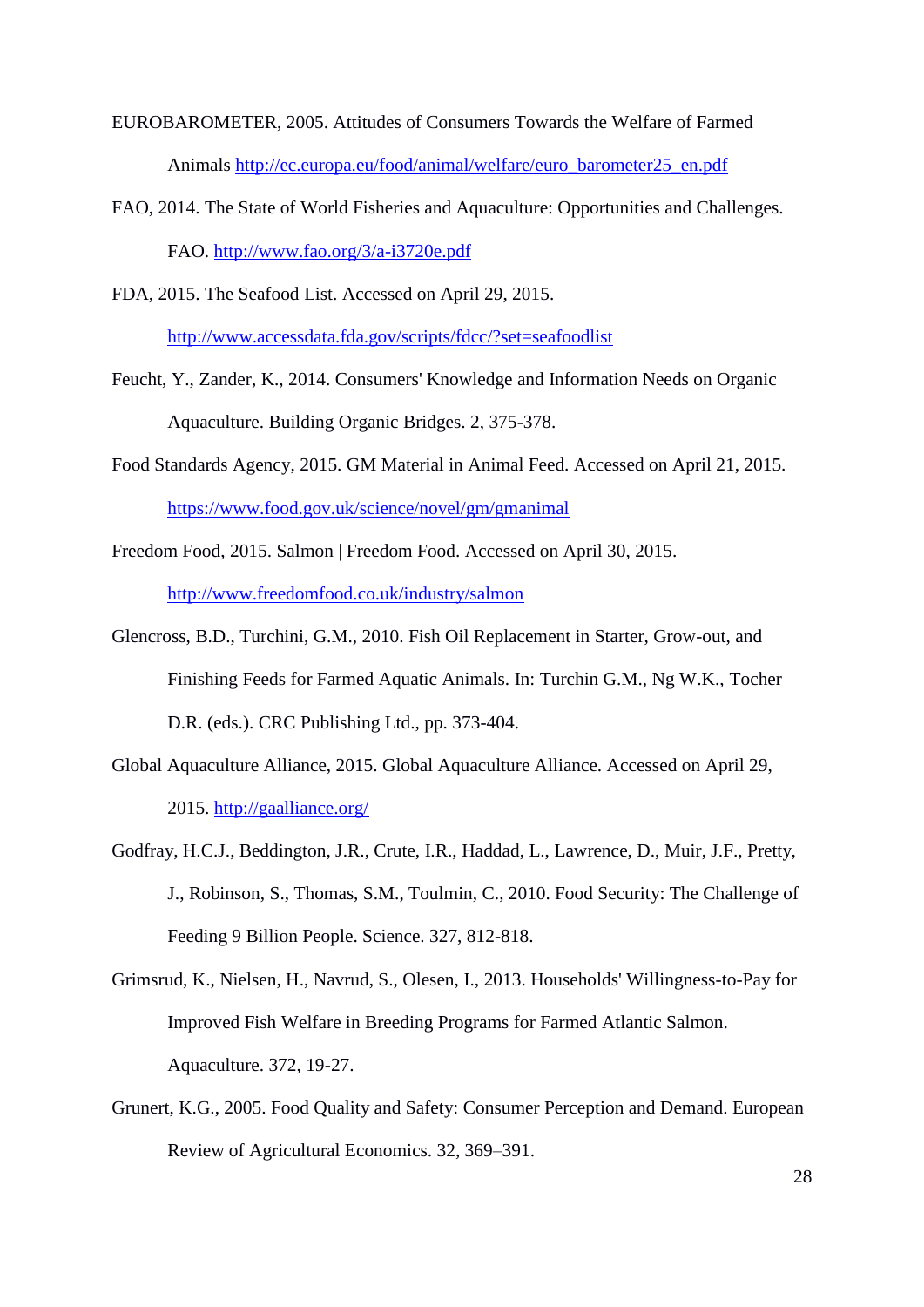EUROBAROMETER, 2005. Attitudes of Consumers Towards the Welfare of Farmed Animals [http://ec.europa.eu/food/animal/welfare/euro\\_barometer25\\_en.pdf](http://ec.europa.eu/food/animal/welfare/euro_barometer25_en.pdf)

FAO, 2014. The State of World Fisheries and Aquaculture: Opportunities and Challenges. FAO.<http://www.fao.org/3/a-i3720e.pdf>

FDA, 2015. The Seafood List. Accessed on April 29, 2015. <http://www.accessdata.fda.gov/scripts/fdcc/?set=seafoodlist>

- Feucht, Y., Zander, K., 2014. Consumers' Knowledge and Information Needs on Organic Aquaculture. Building Organic Bridges. 2, 375-378.
- Food Standards Agency, 2015. GM Material in Animal Feed. Accessed on April 21, 2015. <https://www.food.gov.uk/science/novel/gm/gmanimal>
- Freedom Food, 2015. Salmon | Freedom Food. Accessed on April 30, 2015. <http://www.freedomfood.co.uk/industry/salmon>
- Glencross, B.D., Turchini, G.M., 2010. Fish Oil Replacement in Starter, Grow-out, and Finishing Feeds for Farmed Aquatic Animals. In: Turchin G.M., Ng W.K., Tocher D.R. (eds.). CRC Publishing Ltd., pp. 373-404.
- Global Aquaculture Alliance, 2015. Global Aquaculture Alliance. Accessed on April 29, 2015.<http://gaalliance.org/>
- Godfray, H.C.J., Beddington, J.R., Crute, I.R., Haddad, L., Lawrence, D., Muir, J.F., Pretty, J., Robinson, S., Thomas, S.M., Toulmin, C., 2010. Food Security: The Challenge of Feeding 9 Billion People. Science. 327, 812-818.
- Grimsrud, K., Nielsen, H., Navrud, S., Olesen, I., 2013. Households' Willingness-to-Pay for Improved Fish Welfare in Breeding Programs for Farmed Atlantic Salmon. Aquaculture. 372, 19-27.
- Grunert, K.G., 2005. Food Quality and Safety: Consumer Perception and Demand. European Review of Agricultural Economics. 32, 369–391.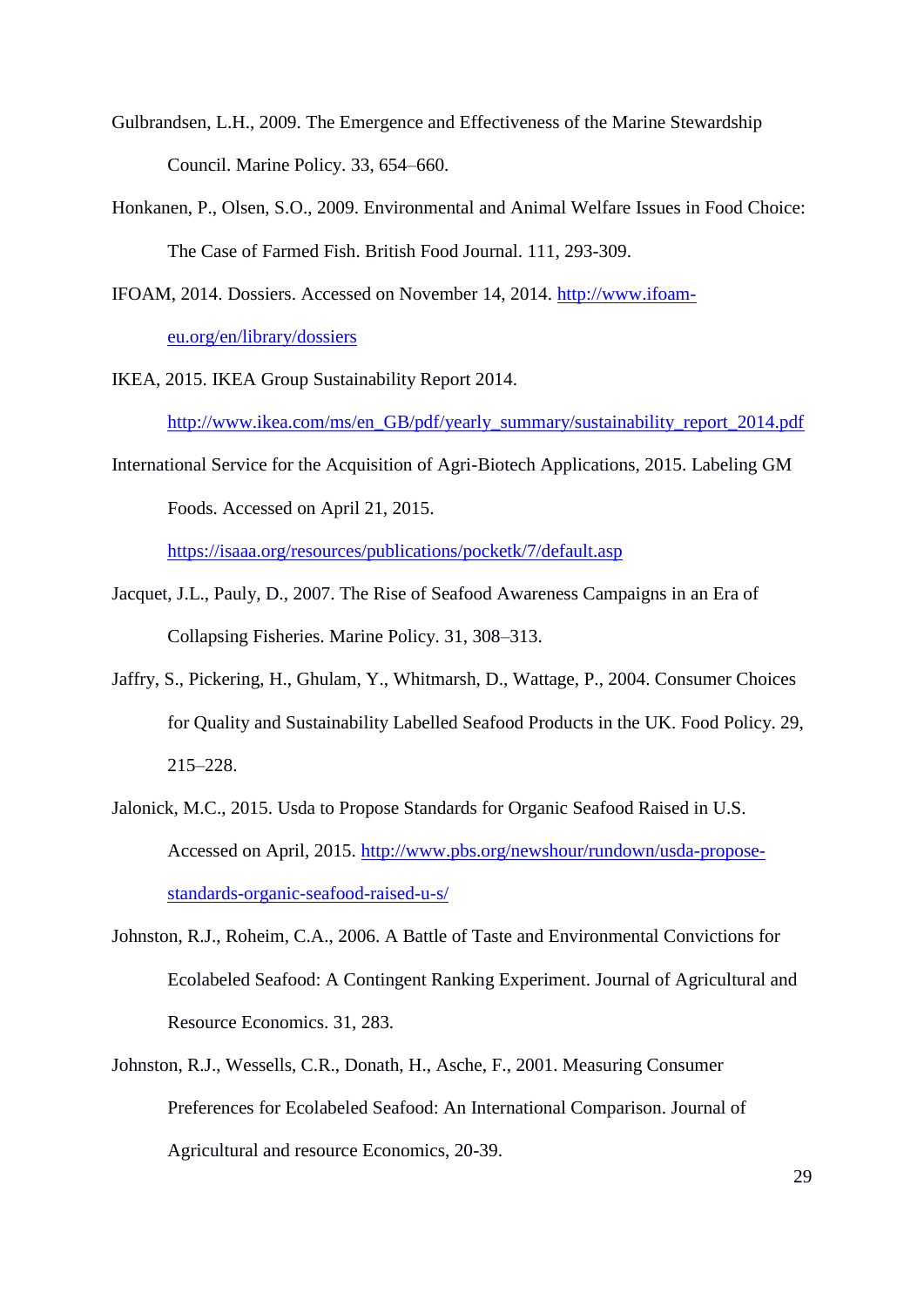- Gulbrandsen, L.H., 2009. The Emergence and Effectiveness of the Marine Stewardship Council. Marine Policy. 33, 654–660.
- Honkanen, P., Olsen, S.O., 2009. Environmental and Animal Welfare Issues in Food Choice: The Case of Farmed Fish. British Food Journal. 111, 293-309.
- IFOAM, 2014. Dossiers. Accessed on November 14, 2014. [http://www.ifoam](http://www.ifoam-eu.org/en/library/dossiers)[eu.org/en/library/dossiers](http://www.ifoam-eu.org/en/library/dossiers)
- IKEA, 2015. IKEA Group Sustainability Report 2014.

[http://www.ikea.com/ms/en\\_GB/pdf/yearly\\_summary/sustainability\\_report\\_2014.pdf](http://www.ikea.com/ms/en_GB/pdf/yearly_summary/sustainability_report_2014.pdf)

International Service for the Acquisition of Agri-Biotech Applications, 2015. Labeling GM Foods. Accessed on April 21, 2015.

<https://isaaa.org/resources/publications/pocketk/7/default.asp>

- Jacquet, J.L., Pauly, D., 2007. The Rise of Seafood Awareness Campaigns in an Era of Collapsing Fisheries. Marine Policy. 31, 308–313.
- Jaffry, S., Pickering, H., Ghulam, Y., Whitmarsh, D., Wattage, P., 2004. Consumer Choices for Quality and Sustainability Labelled Seafood Products in the UK. Food Policy. 29, 215–228.
- Jalonick, M.C., 2015. Usda to Propose Standards for Organic Seafood Raised in U.S. Accessed on April, 2015. [http://www.pbs.org/newshour/rundown/usda-propose](http://www.pbs.org/newshour/rundown/usda-propose-standards-organic-seafood-raised-u-s/)[standards-organic-seafood-raised-u-s/](http://www.pbs.org/newshour/rundown/usda-propose-standards-organic-seafood-raised-u-s/)
- Johnston, R.J., Roheim, C.A., 2006. A Battle of Taste and Environmental Convictions for Ecolabeled Seafood: A Contingent Ranking Experiment. Journal of Agricultural and Resource Economics. 31, 283.
- Johnston, R.J., Wessells, C.R., Donath, H., Asche, F., 2001. Measuring Consumer Preferences for Ecolabeled Seafood: An International Comparison. Journal of Agricultural and resource Economics, 20-39.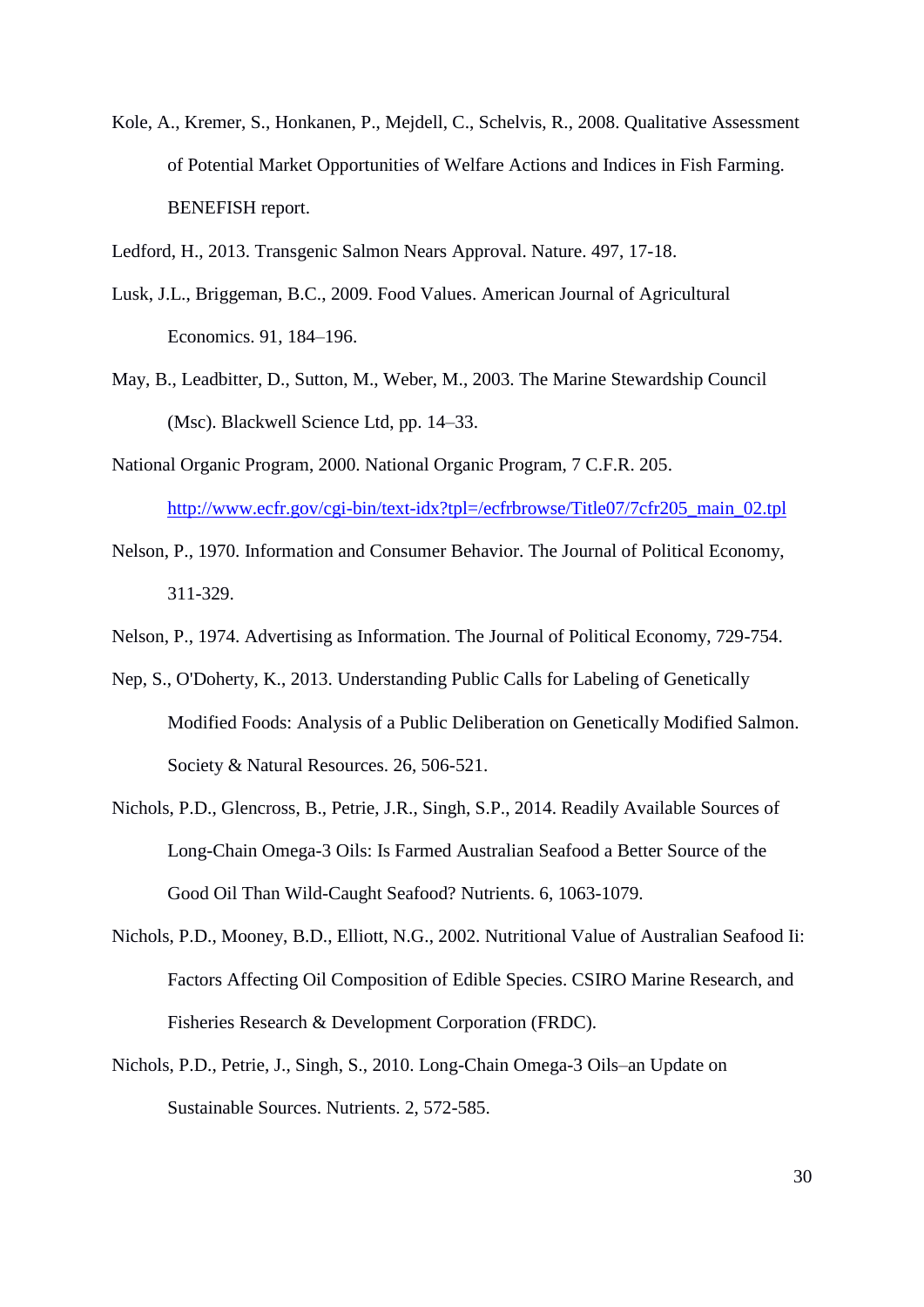Kole, A., Kremer, S., Honkanen, P., Mejdell, C., Schelvis, R., 2008. Qualitative Assessment of Potential Market Opportunities of Welfare Actions and Indices in Fish Farming. BENEFISH report.

Ledford, H., 2013. Transgenic Salmon Nears Approval. Nature. 497, 17-18.

- Lusk, J.L., Briggeman, B.C., 2009. Food Values. American Journal of Agricultural Economics. 91, 184–196.
- May, B., Leadbitter, D., Sutton, M., Weber, M., 2003. The Marine Stewardship Council (Msc). Blackwell Science Ltd, pp. 14–33.
- National Organic Program, 2000. National Organic Program, 7 C.F.R. 205. [http://www.ecfr.gov/cgi-bin/text-idx?tpl=/ecfrbrowse/Title07/7cfr205\\_main\\_02.tpl](http://www.ecfr.gov/cgi-bin/text-idx?tpl=/ecfrbrowse/Title07/7cfr205_main_02.tpl)
- Nelson, P., 1970. Information and Consumer Behavior. The Journal of Political Economy, 311-329.
- Nelson, P., 1974. Advertising as Information. The Journal of Political Economy, 729-754.
- Nep, S., O'Doherty, K., 2013. Understanding Public Calls for Labeling of Genetically Modified Foods: Analysis of a Public Deliberation on Genetically Modified Salmon. Society & Natural Resources. 26, 506-521.
- Nichols, P.D., Glencross, B., Petrie, J.R., Singh, S.P., 2014. Readily Available Sources of Long-Chain Omega-3 Oils: Is Farmed Australian Seafood a Better Source of the Good Oil Than Wild-Caught Seafood? Nutrients. 6, 1063-1079.
- Nichols, P.D., Mooney, B.D., Elliott, N.G., 2002. Nutritional Value of Australian Seafood Ii: Factors Affecting Oil Composition of Edible Species. CSIRO Marine Research, and Fisheries Research & Development Corporation (FRDC).
- Nichols, P.D., Petrie, J., Singh, S., 2010. Long-Chain Omega-3 Oils–an Update on Sustainable Sources. Nutrients. 2, 572-585.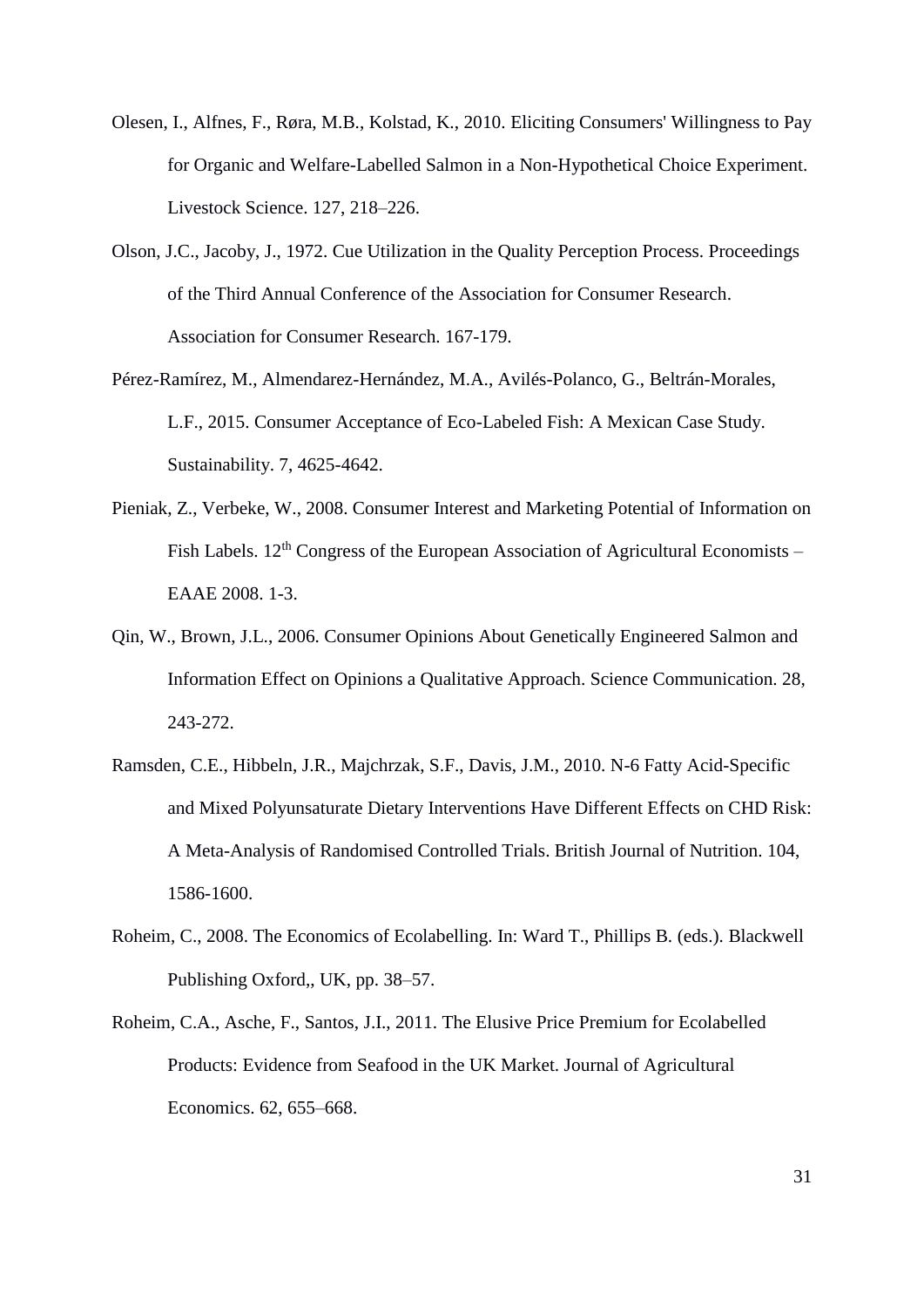- Olesen, I., Alfnes, F., Røra, M.B., Kolstad, K., 2010. Eliciting Consumers' Willingness to Pay for Organic and Welfare-Labelled Salmon in a Non-Hypothetical Choice Experiment. Livestock Science. 127, 218–226.
- Olson, J.C., Jacoby, J., 1972. Cue Utilization in the Quality Perception Process. Proceedings of the Third Annual Conference of the Association for Consumer Research. Association for Consumer Research. 167-179.
- Pérez-Ramírez, M., Almendarez-Hernández, M.A., Avilés-Polanco, G., Beltrán-Morales, L.F., 2015. Consumer Acceptance of Eco-Labeled Fish: A Mexican Case Study. Sustainability. 7, 4625-4642.
- Pieniak, Z., Verbeke, W., 2008. Consumer Interest and Marketing Potential of Information on Fish Labels.  $12<sup>th</sup> Congress$  of the European Association of Agricultural Economists – EAAE 2008. 1-3.
- Qin, W., Brown, J.L., 2006. Consumer Opinions About Genetically Engineered Salmon and Information Effect on Opinions a Qualitative Approach. Science Communication. 28, 243-272.
- Ramsden, C.E., Hibbeln, J.R., Majchrzak, S.F., Davis, J.M., 2010. N-6 Fatty Acid-Specific and Mixed Polyunsaturate Dietary Interventions Have Different Effects on CHD Risk: A Meta-Analysis of Randomised Controlled Trials. British Journal of Nutrition. 104, 1586-1600.
- Roheim, C., 2008. The Economics of Ecolabelling. In: Ward T., Phillips B. (eds.). Blackwell Publishing Oxford,, UK, pp. 38–57.
- Roheim, C.A., Asche, F., Santos, J.I., 2011. The Elusive Price Premium for Ecolabelled Products: Evidence from Seafood in the UK Market. Journal of Agricultural Economics. 62, 655–668.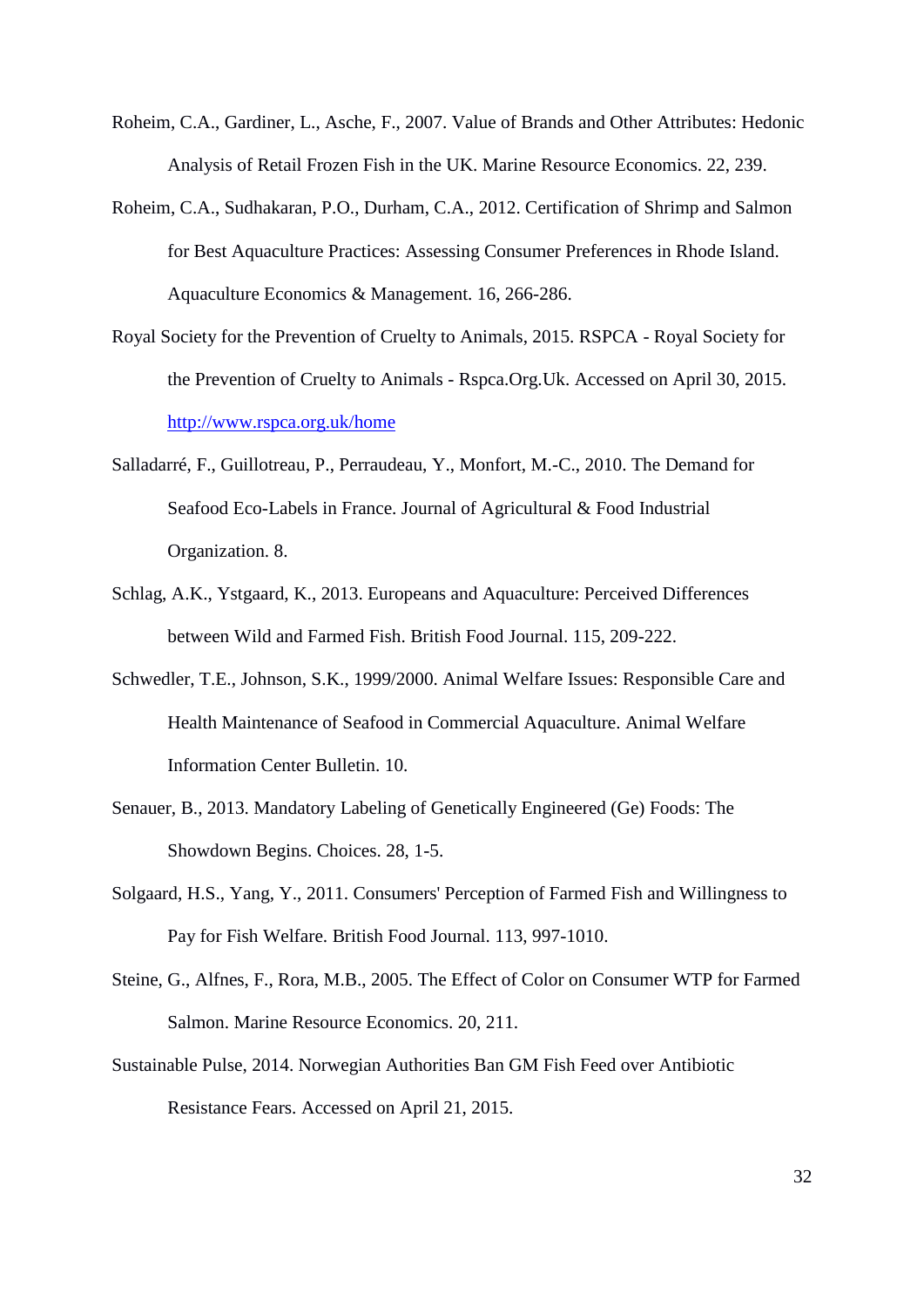- Roheim, C.A., Gardiner, L., Asche, F., 2007. Value of Brands and Other Attributes: Hedonic Analysis of Retail Frozen Fish in the UK. Marine Resource Economics. 22, 239.
- Roheim, C.A., Sudhakaran, P.O., Durham, C.A., 2012. Certification of Shrimp and Salmon for Best Aquaculture Practices: Assessing Consumer Preferences in Rhode Island. Aquaculture Economics & Management. 16, 266-286.
- Royal Society for the Prevention of Cruelty to Animals, 2015. RSPCA Royal Society for the Prevention of Cruelty to Animals - Rspca.Org.Uk. Accessed on April 30, 2015. <http://www.rspca.org.uk/home>
- Salladarré, F., Guillotreau, P., Perraudeau, Y., Monfort, M.-C., 2010. The Demand for Seafood Eco-Labels in France. Journal of Agricultural & Food Industrial Organization. 8.
- Schlag, A.K., Ystgaard, K., 2013. Europeans and Aquaculture: Perceived Differences between Wild and Farmed Fish. British Food Journal. 115, 209-222.
- Schwedler, T.E., Johnson, S.K., 1999/2000. Animal Welfare Issues: Responsible Care and Health Maintenance of Seafood in Commercial Aquaculture. Animal Welfare Information Center Bulletin. 10.
- Senauer, B., 2013. Mandatory Labeling of Genetically Engineered (Ge) Foods: The Showdown Begins. Choices. 28, 1-5.
- Solgaard, H.S., Yang, Y., 2011. Consumers' Perception of Farmed Fish and Willingness to Pay for Fish Welfare. British Food Journal. 113, 997-1010.
- Steine, G., Alfnes, F., Rora, M.B., 2005. The Effect of Color on Consumer WTP for Farmed Salmon. Marine Resource Economics. 20, 211.
- Sustainable Pulse, 2014. Norwegian Authorities Ban GM Fish Feed over Antibiotic Resistance Fears. Accessed on April 21, 2015.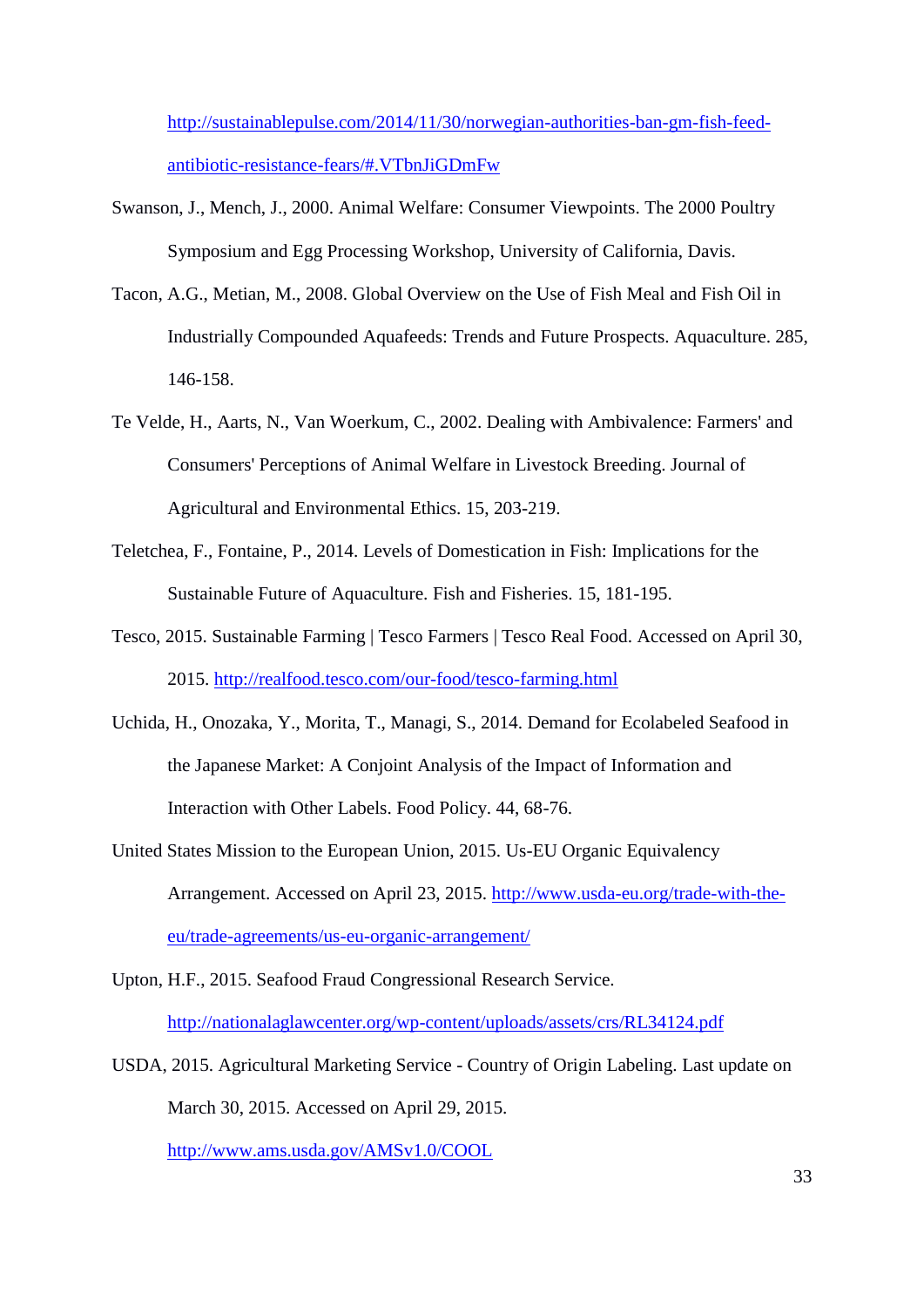[http://sustainablepulse.com/2014/11/30/norwegian-authorities-ban-gm-fish-feed](http://sustainablepulse.com/2014/11/30/norwegian-authorities-ban-gm-fish-feed-antibiotic-resistance-fears/#.VTbnJiGDmFw)[antibiotic-resistance-fears/#.VTbnJiGDmFw](http://sustainablepulse.com/2014/11/30/norwegian-authorities-ban-gm-fish-feed-antibiotic-resistance-fears/#.VTbnJiGDmFw)

- Swanson, J., Mench, J., 2000. Animal Welfare: Consumer Viewpoints. The 2000 Poultry Symposium and Egg Processing Workshop, University of California, Davis.
- Tacon, A.G., Metian, M., 2008. Global Overview on the Use of Fish Meal and Fish Oil in Industrially Compounded Aquafeeds: Trends and Future Prospects. Aquaculture. 285, 146-158.
- Te Velde, H., Aarts, N., Van Woerkum, C., 2002. Dealing with Ambivalence: Farmers' and Consumers' Perceptions of Animal Welfare in Livestock Breeding. Journal of Agricultural and Environmental Ethics. 15, 203-219.
- Teletchea, F., Fontaine, P., 2014. Levels of Domestication in Fish: Implications for the Sustainable Future of Aquaculture. Fish and Fisheries. 15, 181-195.
- Tesco, 2015. Sustainable Farming | Tesco Farmers | Tesco Real Food. Accessed on April 30, 2015.<http://realfood.tesco.com/our-food/tesco-farming.html>
- Uchida, H., Onozaka, Y., Morita, T., Managi, S., 2014. Demand for Ecolabeled Seafood in the Japanese Market: A Conjoint Analysis of the Impact of Information and Interaction with Other Labels. Food Policy. 44, 68-76.
- United States Mission to the European Union, 2015. Us-EU Organic Equivalency Arrangement. Accessed on April 23, 2015. [http://www.usda-eu.org/trade-with-the](http://www.usda-eu.org/trade-with-the-eu/trade-agreements/us-eu-organic-arrangement/)[eu/trade-agreements/us-eu-organic-arrangement/](http://www.usda-eu.org/trade-with-the-eu/trade-agreements/us-eu-organic-arrangement/)
- Upton, H.F., 2015. Seafood Fraud Congressional Research Service. <http://nationalaglawcenter.org/wp-content/uploads/assets/crs/RL34124.pdf>
- USDA, 2015. Agricultural Marketing Service Country of Origin Labeling. Last update on March 30, 2015. Accessed on April 29, 2015.

<http://www.ams.usda.gov/AMSv1.0/COOL>